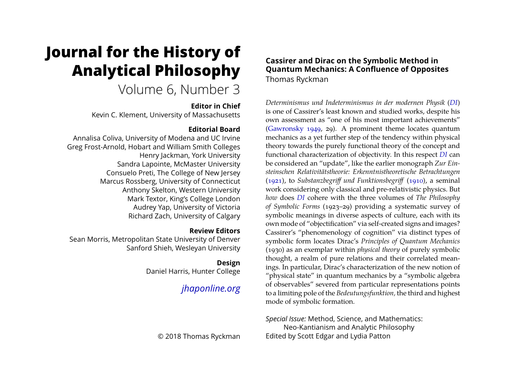# **Journal for the History of Analytical Philosophy**

# Volume 6, Number 3

# **Editor in Chief**

Kevin C. Klement, University of Massachusetts

# **Editorial Board**

Annalisa Coliva, University of Modena and UC Irvine Greg Frost-Arnold, Hobart and William Smith Colleges Henry Jackman, York University Sandra Lapointe, McMaster University Consuelo Preti, The College of New Jersey Marcus Rossberg, University of Connecticut Anthony Skelton, Western University Mark Textor, King's College London Audrey Yap, University of Victoria Richard Zach, University of Calgary

# **Review Editors**

Sean Morris, Metropolitan State University of Denver Sanford Shieh, Wesleyan University

# **Design**

Daniel Harris, Hunter College

# *[jhaponline.org](https://jhaponline.org)*

© 2018 Thomas Ryckman

# **Cassirer and Dirac on the Symbolic Method in Quantum Mechanics: A Confluence of Opposites** Thomas Ryckman

*Determinismus und Indeterminismus in der modernen Physik* (*[DI](#page-27-0)*) is one of Cassirer's least known and studied works, despite his own assessment as "one of his most important achievements" [\(Gawronsky 1949,](#page-29-0) 29). A prominent theme locates quantum mechanics as a yet further step of the tendency within physical theory towards the purely functional theory of the concept and functional characterization of objectivity. In this respect *[DI](#page-27-0)* can be considered an "update", like the earlier monograph *Zur Einsteinschen Relativitätstheorie: Erkenntnistheoretische Betrachtungen* [\(1921\)](#page-27-1), to *Substanzbegriff und Funktionsbegriff* [\(1910\)](#page-27-2), a seminal work considering only classical and pre-relativistic physics. But *how* does *[DI](#page-27-0)* cohere with the three volumes of *The Philosophy of Symbolic Forms* (1923–29) providing a systematic survey of symbolic meanings in diverse aspects of culture, each with its own mode of "objectification" via self-created signs and images? Cassirer's "phenomenology of cognition" via distinct types of symbolic form locates Dirac's *Principles of Quantum Mechanics* (1930) as an exemplar within *physical theory* of purely symbolic thought, a realm of pure relations and their correlated meanings. In particular, Dirac's characterization of the new notion of "physical state" in quantum mechanics by a "symbolic algebra of observables" severed from particular representations points to a limiting pole of the *Bedeutungsfunktion,* the third and highest mode of symbolic formation.

*Special Issue:* Method, Science, and Mathematics: Neo-Kantianism and Analytic Philosophy Edited by Scott Edgar and Lydia Patton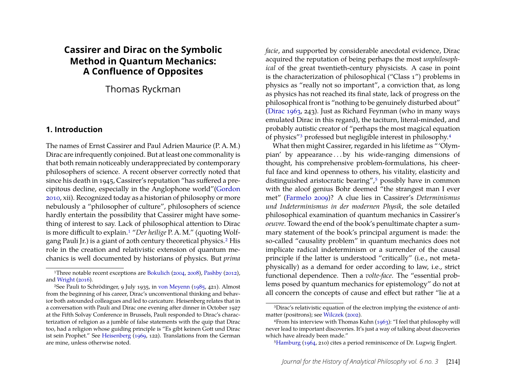# **Cassirer and Dirac on the Symbolic Method in Quantum Mechanics: A Confluence of Opposites**

Thomas Ryckman

#### **1. Introduction**

The names of Ernst Cassirer and Paul Adrien Maurice (P. A. M.) Dirac are infrequently conjoined. But at least one commonality is that both remain noticeably underappreciated by contemporary philosophers of science. A recent observer correctly noted that since his death in 1945, Cassirer's reputation "has suffered a precipitous decline, especially in the Anglophone world"[\(Gordon](#page-29-1) [2010,](#page-29-1) xii). Recognized today as a historian of philosophy or more nebulously a "philosopher of culture", philosophers of science hardly entertain the possibility that Cassirer might have something of interest to say. Lack of philosophical attention to Dirac is more difficult to explain.[1](#page-1-0) "*Der heilige* P. A. M." (quoting Wolfgang Pauli Jr.) is a giant of 20th century theoretical physics.[2](#page-1-1) His role in the creation and relativistic extension of quantum mechanics is well documented by historians of physics. But *prima* *facie*, and supported by considerable anecdotal evidence, Dirac acquired the reputation of being perhaps the most *unphilosophical* of the great twentieth-century physicists. A case in point is the characterization of philosophical ("Class 1") problems in physics as "really not so important", a conviction that, as long as physics has not reached its final state, lack of progress on the philosophical front is "nothing to be genuinely disturbed about" [\(Dirac 1963,](#page-28-0) 243). Just as Richard Feynman (who in many ways emulated Dirac in this regard), the taciturn, literal-minded, and probably autistic creator of "perhaps the most magical equation of physics"[3](#page-1-2) professed but negligible interest in philosophy.[4](#page-1-3)

What then might Cassirer, regarded in his lifetime as "'Olympian' by appearance ... by his wide-ranging dimensions of thought, his comprehensive problem-formulations, his cheerful face and kind openness to others, his vitality, elasticity and distinguished aristocratic bearing",[5](#page-1-4) possibly have in common with the aloof genius Bohr deemed "the strangest man I ever met" [\(Farmelo 2009\)](#page-29-3)? A clue lies in Cassirer's *Determinismus und Indeterminismus in der modernen Physik*, the sole detailed philosophical examination of quantum mechanics in Cassirer's *oeuvre*. Toward the end of the book's penultimate chapter a summary statement of the book's principal argument is made: the so-called "causality problem" in quantum mechanics does not implicate radical indeterminism or a surrender of the causal principle if the latter is understood "critically" (i.e., not metaphysically) as a demand for order according to law, i.e., strict functional dependence. Then a *volte-face*. The "essential problems posed by quantum mechanics for epistemology" do not at all concern the concepts of cause and effect but rather "lie at a

<span id="page-1-0"></span><sup>&</sup>lt;sup>1</sup>Three notable recent exceptions are [Bokulich](#page-27-3) [\(2004,](#page-27-3) [2008\)](#page-27-4), [Pashby](#page-30-0) [\(2012\)](#page-30-0), and [Wright](#page-30-1) [\(2016\)](#page-30-1).

<span id="page-1-1"></span><sup>2</sup>See Pauli to Schrödinger, 9 July 1935, in [von Meyenn](#page-30-2) [\(1985,](#page-30-2) 421). Almost from the beginning of his career, Dirac's unconventional thinking and behavior both astounded colleagues and led to caricature. Heisenberg relates that in a conversation with Pauli and Dirac one evening after dinner in October 1927 at the Fifth Solvay Conference in Brussels, Pauli responded to Dirac's characterization of religion as a jumble of false statements with the quip that Dirac too, had a religion whose guiding principle is "Es gibt keinen Gott und Dirac ist sein Prophet." See [Heisenberg](#page-29-2) [\(1969,](#page-29-2) 122). Translations from the German are mine, unless otherwise noted.

<span id="page-1-2"></span><sup>3</sup>Dirac's relativistic equation of the electron implying the existence of antimatter (positrons); see [Wilczek](#page-30-3) [\(2002\)](#page-30-3).

<span id="page-1-3"></span><sup>4</sup>From his interview with Thomas Kuhn [\(1963\)](#page-29-4): "I feel that philosophy will never lead to important discoveries. It's just a way of talking about discoveries which have already been made."

<span id="page-1-4"></span><sup>&</sup>lt;sup>5</sup>[Hamburg](#page-29-5) [\(1964,](#page-29-5) 210) cites a period reminiscence of Dr. Lugwig Englert.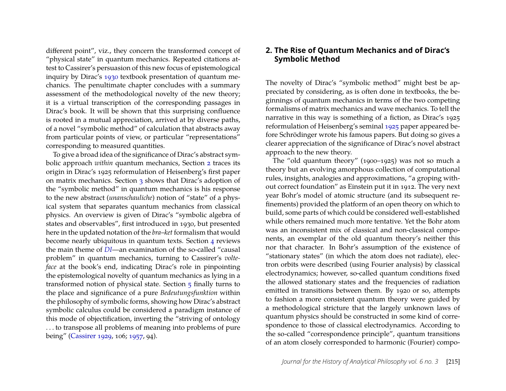different point", viz., they concern the transformed concept of "physical state" in quantum mechanics. Repeated citations attest to Cassirer's persuasion of this new focus of epistemological inquiry by Dirac's [1930](#page-28-1) textbook presentation of quantum mechanics. The penultimate chapter concludes with a summary assessment of the methodological novelty of the new theory; it is a virtual transcription of the corresponding passages in Dirac's book. It will be shown that this surprising confluence is rooted in a mutual appreciation, arrived at by diverse paths, of a novel "symbolic method" of calculation that abstracts away from particular points of view, or particular "representations" corresponding to measured quantities.

To give a broad idea of the significance of Dirac's abstract symbolic approach *within* quantum mechanics, Section [2](#page-2-0) traces its origin in Dirac's 1925 reformulation of Heisenberg's first paper on matrix mechanics. Section [3](#page-10-0) shows that Dirac's adoption of the "symbolic method" in quantum mechanics is his response to the new abstract (*unanschauliche*) notion of "state" of a physical system that separates quantum mechanics from classical physics. An overview is given of Dirac's "symbolic algebra of states and observables", first introduced in 1930, but presented here in the updated notation of the *bra*–*ket* formalism that would become nearly ubiquitous in quantum texts. Section [4](#page-15-0) reviews the main theme of *[DI](#page-27-0)*—an examination of the so-called "causal problem" in quantum mechanics, turning to Cassirer's *volteface* at the book's end, indicating Dirac's role in pinpointing the epistemological novelty of quantum mechanics as lying in a transformed notion of physical state. Section [5](#page-20-0) finally turns to the place and significance of a pure *Bedeutungsfunktion* within the philosophy of symbolic forms, showing how Dirac's abstract symbolic calculus could be considered a paradigm instance of this mode of objectification, inverting the "striving of ontology . . . to transpose all problems of meaning into problems of pure being" [\(Cassirer 1929,](#page-27-5) 106; [1957,](#page-28-2) 94).

### <span id="page-2-0"></span>**2. The Rise of Quantum Mechanics and of Dirac's Symbolic Method**

The novelty of Dirac's "symbolic method" might best be appreciated by considering, as is often done in textbooks, the beginnings of quantum mechanics in terms of the two competing formalisms of matrix mechanics and wave mechanics. To tell the narrative in this way is something of a fiction, as Dirac's 1925 reformulation of Heisenberg's seminal [1925](#page-29-6) paper appeared before Schrödinger wrote his famous papers. But doing so gives a clearer appreciation of the significance of Dirac's novel abstract approach to the new theory.

The "old quantum theory" (1900–1925) was not so much a theory but an evolving amorphous collection of computational rules, insights, analogies and approximations, "a groping without correct foundation" as Einstein put it in 1912. The very next year Bohr's model of atomic structure (and its subsequent refinements) provided the platform of an open theory on which to build, some parts of which could be considered well-established while others remained much more tentative. Yet the Bohr atom was an inconsistent mix of classical and non-classical components, an exemplar of the old quantum theory's neither this nor that character. In Bohr's assumption of the existence of "stationary states" (in which the atom does not radiate), electron orbits were described (using Fourier analysis) by classical electrodynamics; however, so-called quantum conditions fixed the allowed stationary states and the frequencies of radiation emitted in transitions between them. By 1920 or so, attempts to fashion a more consistent quantum theory were guided by a methodological stricture that the largely unknown laws of quantum physics should be constructed in some kind of correspondence to those of classical electrodynamics. According to the so-called "correspondence principle", quantum transitions of an atom closely corresponded to harmonic (Fourier) compo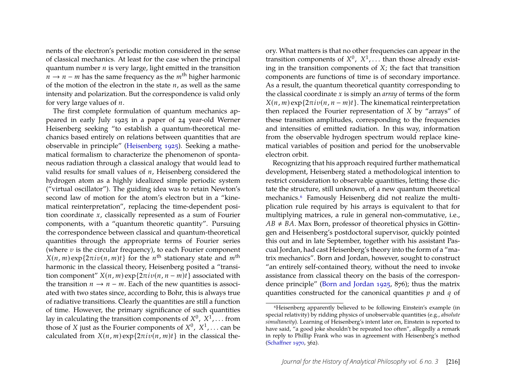nents of the electron's periodic motion considered in the sense of classical mechanics. At least for the case when the principal quantum number *n* is very large, light emitted in the transition *n* → *n* − *m* has the same frequency as the *m*<sup>th</sup> higher harmonic of the motion of the electron in the state *n*, as well as the same intensity and polarization. But the correspondence is valid only for very large values of *n*.

The first complete formulation of quantum mechanics appeared in early July 1925 in a paper of 24 year-old Werner Heisenberg seeking "to establish a quantum-theoretical mechanics based entirely on relations between quantities that are observable in principle" [\(Heisenberg 1925\)](#page-29-6). Seeking a mathematical formalism to characterize the phenomenon of spontaneous radiation through a classical analogy that would lead to valid results for small values of *n*, Heisenberg considered the hydrogen atom as a highly idealized simple periodic system ("virtual oscillator"). The guiding idea was to retain Newton's second law of motion for the atom's electron but in a "kinematical reinterpretation", replacing the time-dependent position coordinate *x*, classically represented as a sum of Fourier components, with a "quantum theoretic quantity". Pursuing the correspondence between classical and quantum-theoretical quantities through the appropriate terms of Fourier series (where  $v$  is the circular frequency), to each Fourier component  $X(n, m)$  exp $\{2\pi i v(n, m)t\}$  for the  $n^{\text{th}}$  stationary state and  $m^{\text{th}}$ harmonic in the classical theory, Heisenberg posited a "transition component"  $X(n, m)$  exp $\{2\pi i v(n, n-m)t\}$  associated with the transition  $n \to n - m$ . Each of the new quantities is associated with two states since, according to Bohr, this is always true of radiative transitions. Clearly the quantities are still a function of time. However, the primary significance of such quantities lay in calculating the transition components of  $X^0,~X^1,\ldots$  from those of *X* just as the Fourier components of  $X^0$ ,  $X^1$ ,... can be calculated from  $X(n, m)$  exp $\{2\pi i v(n, m)t\}$  in the classical the-

ory. What matters is that no other frequencies can appear in the transition components of  $X^0$ ,  $X^1$ ,... than those already existing in the transition components of *X*; the fact that transition components are functions of time is of secondary importance. As a result, the quantum theoretical quantity corresponding to the classical coordinate *x* is simply an *array* of terms of the form  $X(n, m)$  exp $\{2\pi i v(n, n-m)t\}$ . The kinematical reinterpretation then replaced the Fourier representation of *X* by "arrays" of these transition amplitudes, corresponding to the frequencies and intensities of emitted radiation. In this way, information from the observable hydrogen spectrum would replace kinematical variables of position and period for the unobservable electron orbit.

Recognizing that his approach required further mathematical development, Heisenberg stated a methodological intention to restrict consideration to observable quantities, letting these dictate the structure, still unknown, of a new quantum theoretical mechanics.[6](#page-3-0) Famously Heisenberg did not realize the multiplication rule required by his arrays is equivalent to that for multiplying matrices, a rule in general non-commutative, i.e.,  $AB \neq BA$ . Max Born, professor of theoretical physics in Göttingen and Heisenberg's postdoctoral supervisor, quickly pointed this out and in late September, together with his assistant Pascual Jordan, had cast Heisenberg's theory into the form of a "matrix mechanics". Born and Jordan, however, sought to construct "an entirely self-contained theory, without the need to invoke assistance from classical theory on the basis of the correspondence principle" [\(Born and Jordan 1925,](#page-27-6) 876); thus the matrix quantities constructed for the canonical quantities *p* and *q* of

<span id="page-3-0"></span><sup>6</sup>Heisenberg apparently believed to be following Einstein's example (in special relativity) by ridding physics of unobservable quantities (e.g., *absolute simultaneity*). Learning of Heisenberg's intent later on, Einstein is reported to have said, "a good joke shouldn't be repeated too often", allegedly a remark in reply to Phillip Frank who was in agreement with Heisenberg's method [\(Schaffner 1970,](#page-30-4) 362).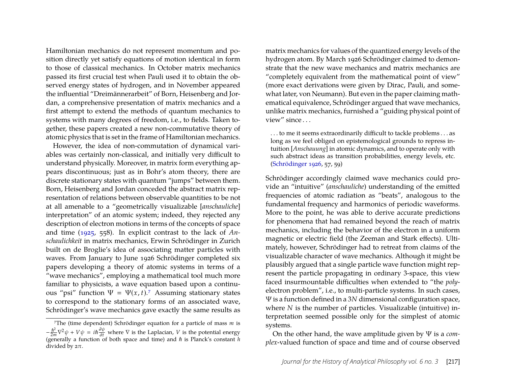Hamiltonian mechanics do not represent momentum and position directly yet satisfy equations of motion identical in form to those of classical mechanics. In October matrix mechanics passed its first crucial test when Pauli used it to obtain the observed energy states of hydrogen, and in November appeared the influential "Dreimännerarbeit" of Born, Heisenberg and Jordan, a comprehensive presentation of matrix mechanics and a first attempt to extend the methods of quantum mechanics to systems with many degrees of freedom, i.e., to fields. Taken together, these papers created a new non-commutative theory of atomic physics that is set in the frame of Hamiltonian mechanics.

However, the idea of non-commutation of dynamical variables was certainly non-classical, and initially very difficult to understand physically. Moreover, in matrix form everything appears discontinuous; just as in Bohr's atom theory, there are discrete stationary states with quantum "jumps" between them. Born, Heisenberg and Jordan conceded the abstract matrix representation of relations between observable quantities to be not at all amenable to a "geometrically visualizable [*anschauliche*] interpretation" of an atomic system; indeed, they rejected any description of electron motions in terms of the concepts of space and time [\(1925,](#page-27-7) 558). In explicit contrast to the lack of *Anschaulichkeit* in matrix mechanics, Erwin Schrödinger in Zurich built on de Broglie's idea of associating matter particles with waves. From January to June 1926 Schrödinger completed six papers developing a theory of atomic systems in terms of a "wave mechanics", employing a mathematical tool much more familiar to physicists, a wave equation based upon a continuous "psi" function  $\Psi = \Psi(x, t)$ .<sup>[7](#page-4-0)</sup> Assuming stationary states to correspond to the stationary forms of an associated wave, Schrödinger's wave mechanics gave exactly the same results as matrix mechanics for values of the quantized energy levels of the hydrogen atom. By March 1926 Schrödinger claimed to demonstrate that the new wave mechanics and matrix mechanics are "completely equivalent from the mathematical point of view" (more exact derivations were given by Dirac, Pauli, and somewhat later, von Neumann). But even in the paper claiming mathematical equivalence, Schrödinger argued that wave mechanics, unlike matrix mechanics, furnished a "guiding physical point of view" since ...

. . . to me it seems extraordinarily difficult to tackle problems . . . as long as we feel obliged on epistemological grounds to repress intuition [*Anschauung*] in atomic dynamics, and to operate only with such abstract ideas as transition probabilities, energy levels, etc. [\(Schrödinger 1926,](#page-30-5) 57, 59)

Schrödinger accordingly claimed wave mechanics could provide an "intuitive" (*anschauliche*) understanding of the emitted frequencies of atomic radiation as "beats", analogous to the fundamental frequency and harmonics of periodic waveforms. More to the point, he was able to derive accurate predictions for phenomena that had remained beyond the reach of matrix mechanics, including the behavior of the electron in a uniform magnetic or electric field (the Zeeman and Stark effects). Ultimately, however, Schrödinger had to retreat from claims of the visualizable character of wave mechanics. Although it might be plausibly argued that a single particle wave function might represent the particle propagating in ordinary 3-space, this view faced insurmountable difficulties when extended to "the *poly*electron problem", i.e., to multi-particle systems. In such cases, Ψ is a function defined in a 3*N* dimensional configuration space, where *N* is the number of particles. Visualizable (intuitive) interpretation seemed possible only for the simplest of atomic systems.

On the other hand, the wave amplitude given by Ψ is a *complex*-valued function of space and time and of course observed

<span id="page-4-0"></span><sup>7</sup>The (time dependent) Schrödinger equation for a particle of mass *m* is  $-\frac{\hbar^2}{2n}$  $rac{\hbar^2}{2m}\nabla^2\psi + V\psi = i\hbar\frac{\partial\psi}{\partial t}$  $\frac{\partial \varphi}{\partial t}$  where  $\nabla$  is the Laplacian, *V* is the potential energy (generally a function of both space and time) and  $\hbar$  is Planck's constant  $\hbar$ divided by  $2\pi$ .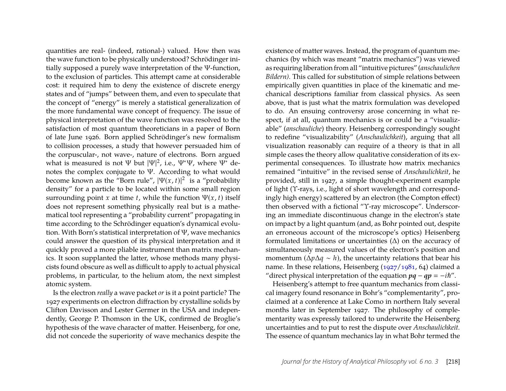quantities are real- (indeed, rational-) valued. How then was the wave function to be physically understood? Schrödinger initially supposed a purely wave interpretation of the Ψ-function, to the exclusion of particles. This attempt came at considerable cost: it required him to deny the existence of discrete energy states and of "jumps" between them, and even to speculate that the concept of "energy" is merely a statistical generalization of the more fundamental wave concept of frequency. The issue of physical interpretation of the wave function was resolved to the satisfaction of most quantum theoreticians in a paper of Born of late June 1926. Born applied Schrödinger's new formalism to collision processes, a study that however persuaded him of the corpuscular-, not wave-, nature of electrons. Born argued what is measured is not  $\Psi$  but  $|\Psi|^2$ , i.e.,  $\Psi^*\Psi$ , where  $\Psi^*$  denotes the complex conjugate to Ψ. According to what would become known as the "Born rule",  $|\Psi(x, t)|^2$  is a "probability density" for a particle to be located within some small region surrounding point *x* at time *t*, while the function  $\Psi(x, t)$  itself does not represent something physically real but is a mathematical tool representing a "probability current" propagating in time according to the Schrödinger equation's dynamical evolution. With Born's statistical interpretation of Ψ, wave mechanics could answer the question of its physical interpretation and it quickly proved a more pliable instrument than matrix mechanics. It soon supplanted the latter, whose methods many physicists found obscure as well as difficult to apply to actual physical problems, in particular, to the helium atom, the next simplest atomic system.

Is the electron *really* a wave packet *or* is it a point particle? The 1927 experiments on electron diffraction by crystalline solids by Clifton Davisson and Lester Germer in the USA and independently, George P. Thomson in the UK, confirmed de Broglie's hypothesis of the wave character of matter. Heisenberg, for one, did not concede the superiority of wave mechanics despite the

existence of matter waves. Instead, the program of quantum mechanics (by which was meant "matrix mechanics") was viewed as requiring liberation from all "intuitive pictures" (*anschaulichen Bildern).* This called for substitution of simple relations between empirically given quantities in place of the kinematic and mechanical descriptions familiar from classical physics. As seen above, that is just what the matrix formulation was developed to do. An ensuing controversy arose concerning in what respect, if at all, quantum mechanics is or could be a "visualizable" (*anschauliche*) theory. Heisenberg correspondingly sought to redefine "visualizability" (*Anschaulichkeit*), arguing that all visualization reasonably can require of a theory is that in all simple cases the theory allow qualitative consideration of its experimental consequences. To illustrate how matrix mechanics remained "intuitive" in the revised sense of *Anschaulichkeit*, he provided, still in 1927, a simple thought-experiment example of light (Υ-rays, i.e., light of short wavelength and correspondingly high energy) scattered by an electron (the Compton effect) then observed with a fictional "Υ-ray microscope". Underscoring an immediate discontinuous change in the electron's state on impact by a light quantum (and, as Bohr pointed out, despite an erroneous account of the microscope's optics) Heisenberg formulated limitations or uncertainties (∆) on the accuracy of simultaneously measured values of the electron's position and momentum ( $\Delta p \Delta q \sim h$ ), the uncertainty relations that bear his name. In these relations, Heisenberg [\(1927](#page-29-7)[/1981,](#page-30-6) 64) claimed a "direct physical interpretation of the equation  $pq - qp = -i\hbar$ ".

Heisenberg's attempt to free quantum mechanics from classical imagery found resonance in Bohr's "complementarity", proclaimed at a conference at Lake Como in northern Italy several months later in September 1927. The philosophy of complementarity was expressly tailored to underwrite the Heisenberg uncertainties and to put to rest the dispute over *Anschaulichkeit.* The essence of quantum mechanics lay in what Bohr termed the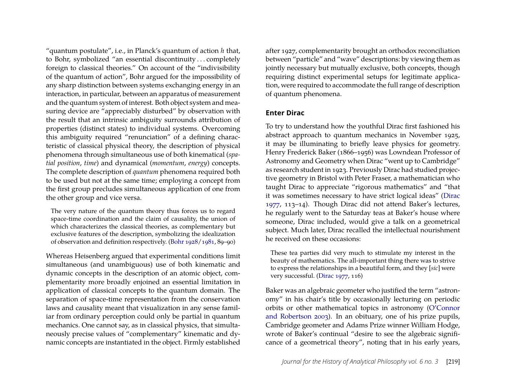"quantum postulate", i.e., in Planck's quantum of action *h* that, to Bohr, symbolized "an essential discontinuity . . . completely foreign to classical theories." On account of the "indivisibility of the quantum of action", Bohr argued for the impossibility of any sharp distinction between systems exchanging energy in an interaction, in particular, between an apparatus of measurement and the quantum system of interest. Both object system and measuring device are "appreciably disturbed" by observation with the result that an intrinsic ambiguity surrounds attribution of properties (distinct states) to individual systems. Overcoming this ambiguity required "renunciation" of a defining characteristic of classical physical theory, the description of physical phenomena through simultaneous use of both kinematical (*spatial position*, *time*) and dynamical (*momentum*, *energy*) concepts. The complete description of *quantum* phenomena required both to be used but not at the same time; employing a concept from the first group precludes simultaneous application of one from the other group and vice versa.

The very nature of the quantum theory thus forces us to regard space-time coordination and the claim of causality, the union of which characterizes the classical theories, as complementary but exclusive features of the description, symbolizing the idealization of observation and definition respectively. [\(Bohr 1928/](#page-27-8)[1981,](#page-30-6) 89–90)

Whereas Heisenberg argued that experimental conditions limit simultaneous (and unambiguous) use of both kinematic and dynamic concepts in the description of an atomic object, complementarity more broadly enjoined an essential limitation in application of classical concepts to the quantum domain. The separation of space-time representation from the conservation laws and causality meant that visualization in any sense familiar from ordinary perception could only be partial in quantum mechanics. One cannot say, as in classical physics, that simultaneously precise values of "complementary" kinematic and dynamic concepts are instantiated in the object. Firmly established

after 1927, complementarity brought an orthodox reconciliation between "particle" and "wave" descriptions: by viewing them as jointly necessary but mutually exclusive, both concepts, though requiring distinct experimental setups for legitimate application, were required to accommodate the full range of description of quantum phenomena.

#### **Enter Dirac**

To try to understand how the youthful Dirac first fashioned his abstract approach to quantum mechanics in November 1925, it may be illuminating to briefly leave physics for geometry. Henry Frederick Baker (1866–1956) was Lowndean Professor of Astronomy and Geometry when Dirac "went up to Cambridge" as research student in 1923. Previously Dirac had studied projective geometry in Bristol with Peter Fraser, a mathematician who taught Dirac to appreciate "rigorous mathematics" and "that it was sometimes necessary to have strict logical ideas" [\(Dirac](#page-28-3) [1977,](#page-28-3) 113–14). Though Dirac did not attend Baker's lectures, he regularly went to the Saturday teas at Baker's house where someone, Dirac included, would give a talk on a geometrical subject. Much later, Dirac recalled the intellectual nourishment he received on these occasions:

These tea parties did very much to stimulate my interest in the beauty of mathematics. The all-important thing there was to strive to express the relationships in a beautiful form, and they [*sic*] were very successful. [\(Dirac 1977,](#page-28-3) 116)

Baker was an algebraic geometer who justified the term "astronomy" in his chair's title by occasionally lecturing on periodic orbits or other mathematical topics in astronomy [\(O'Connor](#page-30-7) [and Robertson 2003\)](#page-30-7). In an obituary, one of his prize pupils, Cambridge geometer and Adams Prize winner William Hodge, wrote of Baker's continual "desire to see the algebraic significance of a geometrical theory", noting that in his early years,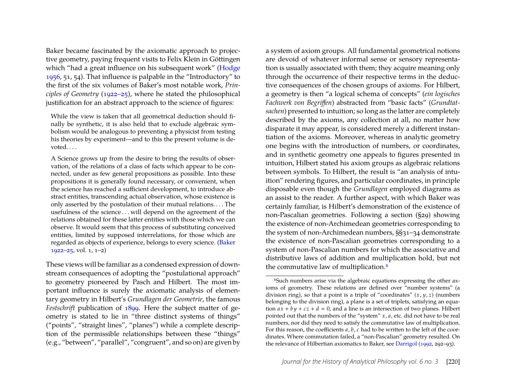Baker became fascinated by the axiomatic approach to projective geometry, paying frequent visits to Felix Klein in Göttingen which "had a great influence on his subsequent work" [\(Hodge](#page-29-8) [1956,](#page-29-8) 51, 54). That influence is palpable in the "Introductory" to the first of the six volumes of Baker's most notable work, *Principles of Geometry* [\(1922–25\)](#page-27-9), where he stated the philosophical justification for an abstract approach to the science of figures:

While the view is taken that all geometrical deduction should finally be synthetic, it is also held that to exclude algebraic symbolism would be analogous to preventing a physicist from testing his theories by experiment—and to this the present volume is devoted. . . .

A Science grows up from the desire to bring the results of observation, of the relations of a class of facts which appear to be connected, under as few general propositions as possible. Into these propositions it is generally found necessary, or convenient, when the science has reached a sufficient development, to introduce abstract entities, transcending actual observation, whose existence is only asserted by the postulation of their mutual relations. . . . The usefulness of the science . . . will depend on the agreement of the relations obtained for these latter entities with those which we can observe. It would seem that this process of substituting conceived entities, limited by supposed interrelations, for those which are regarded as objects of experience, belongs to every science. [\(Baker](#page-27-9) [1922–25,](#page-27-9) vol. 1, 1–2)

These views will be familiar as a condensed expression of downstream consequences of adopting the "postulational approach" to geometry pioneered by Pasch and Hilbert. The most important influence is surely the axiomatic analysis of elementary geometry in Hilbert's *Grundlagen der Geometrie*, the famous *Festschrift* publication of [1899.](#page-29-9) Here the subject matter of geometry is stated to lie in "three distinct systems of things" ("points", "straight lines", "planes") while a complete description of the permissible relationships between these "things" (e.g., "between", "parallel", "congruent", and so on) are given by a system of axiom groups. All fundamental geometrical notions are devoid of whatever informal sense or sensory representation is usually associated with them; they acquire meaning only through the occurrence of their respective terms in the deductive consequences of the chosen groups of axioms. For Hilbert, a geometry is then "a logical schema of concepts" (*ein logisches Fachwerk von Begriffen*) abstracted from "basic facts" (*Grundtatsachen*) presented to intuition; so long as the latter are completely described by the axioms, any collection at all, no matter how disparate it may appear, is considered merely a different instantiation of the axioms. Moreover, whereas in analytic geometry one begins with the introduction of numbers, or coordinates, and in synthetic geometry one appeals to figures presented in intuition, Hilbert stated his axiom groups as algebraic relations between symbols. To Hilbert, the result is "an analysis of intuition" rendering figures, and particular coordinates, in principle disposable even though the *Grundlagen* employed diagrams as an assist to the reader. A further aspect, with which Baker was certainly familiar, is Hilbert's demonstration of the existence of non-Pascalian geometries. Following a section (§29) showing the existence of non-Archimedean geometries corresponding to the system of non-Archimedean numbers, §§31–34 demonstrate the existence of non-Pascalian geometries corresponding to a system of non-Pascalian numbers for which the associative and distributive laws of addition and multiplication hold, but not the commutative law of multiplication.<sup>[8](#page-7-0)</sup>

<span id="page-7-0"></span><sup>8</sup>Such numbers arise via the algebraic equations expressing the other axioms of geometry. These relations are defined over "number systems" (a division ring), so that a point is a triple of "coordinates" (*x*, *y*, *z*) (numbers belonging to the division ring), a plane is a set of triplets, satisfying an equation  $ax + by + cz + d = 0$ , and a line is an intersection of two planes. Hilbert pointed out that the numbers of the "system" *x*, *a*, etc. did not have to be real numbers, nor did they need to satisfy the commutative law of multiplication. For this reason, the coefficients *a*, *b*, *c* had to be written to the left of the coordinates. Where commutation failed, a "non-Pascalian" geometry resulted. On the relevance of Hilbertian axiomatics to Baker, see [Darrigol](#page-28-4) [\(1992,](#page-28-4) 292–93).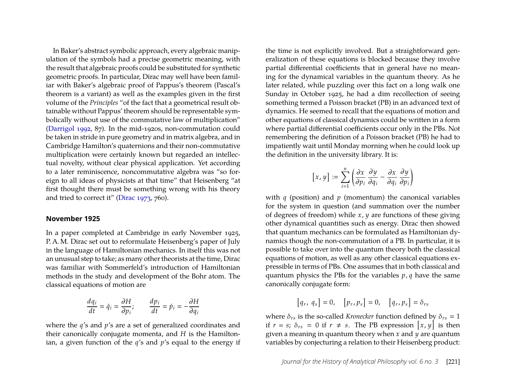In Baker's abstract symbolic approach, every algebraic manipulation of the symbols had a precise geometric meaning, with the result that algebraic proofs could be substituted for synthetic geometric proofs. In particular, Dirac may well have been familiar with Baker's algebraic proof of Pappus's theorem (Pascal's theorem is a variant) as well as the examples given in the first volume of the *Principles* "of the fact that a geometrical result obtainable without Pappus' theorem should be representable symbolically without use of the commutative law of multiplication" [\(Darrigol 1992,](#page-28-4) 87). In the mid-1920s, non-commutation could be taken in stride in pure geometry and in matrix algebra, and in Cambridge Hamilton's quaternions and their non-commutative multiplication were certainly known but regarded an intellectual novelty, without clear physical application. Yet according to a later reminiscence, noncommutative algebra was "so foreign to all ideas of physicists at that time" that Heisenberg "at first thought there must be something wrong with his theory and tried to correct it" [\(Dirac 1973,](#page-28-5) 760).

#### **November 1925**

In a paper completed at Cambridge in early November 1925, P. A. M. Dirac set out to reformulate Heisenberg's paper of July in the language of Hamiltonian mechanics. In itself this was not an unusual step to take; as many other theorists at the time, Dirac was familiar with Sommerfeld's introduction of Hamiltonian methods in the study and development of the Bohr atom. The classical equations of motion are

$$
\frac{dq_i}{dt} = \dot{q}_i = \frac{\partial H}{\partial p_i}; \qquad \frac{dp_i}{dt} = \dot{p}_i = -\frac{\partial H}{\partial q_i}
$$

where the *q*'s and *p*'s are a set of generalized coordinates and their canonically conjugate momenta, and *H* is the Hamiltonian, a given function of the *q*'s and *p*'s equal to the energy if

the time is not explicitly involved. But a straightforward generalization of these equations is blocked because they involve partial differential coefficients that in general have no meaning for the dynamical variables in the quantum theory. As he later related, while puzzling over this fact on a long walk one Sunday in October 1925, he had a dim recollection of seeing something termed a Poisson bracket (PB) in an advanced text of dynamics. He seemed to recall that the equations of motion and other equations of classical dynamics could be written in a form where partial differential coefficients occur only in the PBs. Not remembering the definition of a Poisson bracket (PB) he had to impatiently wait until Monday morning when he could look up the definition in the university library. It is:

$$
[x, y] := \sum_{i=1}^{n} \left( \frac{\partial x}{\partial p_i} \frac{\partial y}{\partial q_i} - \frac{\partial x}{\partial q_i} \frac{\partial y}{\partial p_i} \right)
$$

with *q* (position) and *p* (momentum) the canonical variables for the system in question (and summation over the number of degrees of freedom) while *x*, *y* are functions of these giving other dynamical quantities such as energy. Dirac then showed that quantum mechanics can be formulated as Hamiltonian dynamics though the non-commutation of a PB. In particular, it is possible to take over into the quantum theory both the classical equations of motion, as well as any other classical equations expressible in terms of PBs. One assumes that in both classical and quantum physics the PBs for the variables *p*, *q* have the same canonically conjugate form:

$$
[q_r, q_s] = 0, [p_r, p_s] = 0, [q_r, p_s] = \delta_{rs}
$$

where  $\delta_{rs}$  is the so-called *Kronecker* function defined by  $\delta_{rs} = 1$ if  $r = s$ ;  $\delta_{rs} = 0$  if  $r \neq s$ . The PB expression  $\left[x, y\right]$  is then given a meaning in quantum theory when *x* and *y* are quantum variables by conjecturing a relation to their Heisenberg product: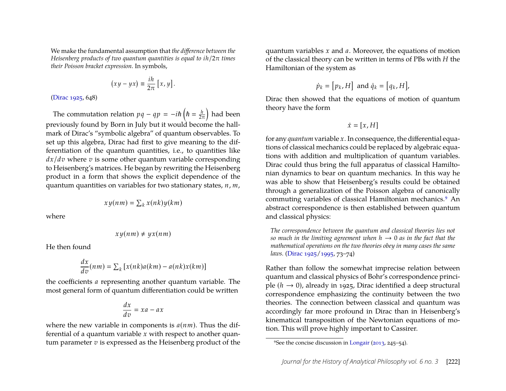We make the fundamental assumption that *the difference between the Heisenberg products of two quantum quantities is equal to ih*/2π *times their Poisson bracket expression*. In symbols,

$$
(xy - yx) \equiv \frac{ih}{2\pi} [x, y].
$$

[\(Dirac 1925,](#page-28-6) 648)

The commutation relation  $pq - qp = -i\hbar \left( \hbar = \frac{\hbar}{2q} \right)$  $\frac{h}{2\pi}$ ) had been previously found by Born in July but it would become the hallmark of Dirac's "symbolic algebra" of quantum observables. To set up this algebra, Dirac had first to give meaning to the differentiation of the quantum quantities, i.e., to quantities like *dx*/*dv* where *v* is some other quantum variable corresponding to Heisenberg's matrices. He began by rewriting the Heisenberg product in a form that shows the explicit dependence of the quantum quantities on variables for two stationary states, *n*, *m*,

$$
xy(nm) = \sum_k x(nk)y(km)
$$

where

$$
xy(nm) \neq yx(nm)
$$

He then found

$$
\frac{dx}{dv}(nm) = \sum_{k} [x(nk)a(km) - a(nk)x(km)]
$$

the coefficients *a* representing another quantum variable. The most general form of quantum differentiation could be written

$$
\frac{dx}{dv} = xa - ax
$$

where the new variable in components is  $a(nm)$ . Thus the differential of a quantum variable *x* with respect to another quantum parameter *v* is expressed as the Heisenberg product of the quantum variables *x* and *a*. Moreover, the equations of motion of the classical theory can be written in terms of PBs with *H* the Hamiltonian of the system as

$$
\dot{p}_k = [p_k, H]
$$
 and  $\dot{q}_k = [q_k, H]$ ,

Dirac then showed that the equations of motion of quantum theory have the form

$$
\dot{x}=[x,H]
$$

for any *quantum*variable *x*. In consequence, the differential equations of classical mechanics could be replaced by algebraic equations with addition and multiplication of quantum variables. Dirac could thus bring the full apparatus of classical Hamiltonian dynamics to bear on quantum mechanics. In this way he was able to show that Heisenberg's results could be obtained through a generalization of the Poisson algebra of canonically commuting variables of classical Hamiltonian mechanics.[9](#page-9-0) An abstract correspondence is then established between quantum and classical physics:

*The correspondence between the quantum and classical theories lies not so much in the limiting agreement when*  $h \rightarrow 0$  *as in the fact that the mathematical operations on the two theories obey in many cases the same laws.* [\(Dirac 1925](#page-28-6)[/1995,](#page-29-10) 73–74)

Rather than follow the somewhat imprecise relation between quantum and classical physics of Bohr's correspondence principle  $(h \rightarrow 0)$ , already in 1925, Dirac identified a deep structural correspondence emphasizing the continuity between the two theories. The connection between classical and quantum was accordingly far more profound in Dirac than in Heisenberg's kinematical transposition of the Newtonian equations of motion. This will prove highly important to Cassirer.

<span id="page-9-0"></span><sup>9</sup>See the concise discussion in [Longair](#page-29-11) [\(2013,](#page-29-11) 245–54).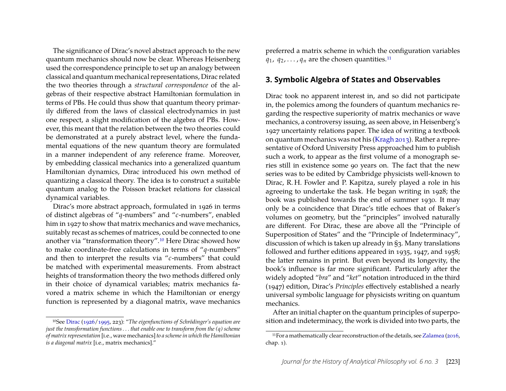The significance of Dirac's novel abstract approach to the new quantum mechanics should now be clear. Whereas Heisenberg used the correspondence principle to set up an analogy between classical and quantum mechanical representations, Dirac related the two theories through a *structural correspondence* of the algebras of their respective abstract Hamiltonian formulation in terms of PBs. He could thus show that quantum theory primarily differed from the laws of classical electrodynamics in just one respect, a slight modification of the algebra of PBs. However, this meant that the relation between the two theories could be demonstrated at a purely abstract level, where the fundamental equations of the new quantum theory are formulated in a manner independent of any reference frame. Moreover, by embedding classical mechanics into a generalized quantum Hamiltonian dynamics, Dirac introduced his own method of quantizing a classical theory. The idea is to construct a suitable quantum analog to the Poisson bracket relations for classical dynamical variables.

Dirac's more abstract approach, formulated in 1926 in terms of distinct algebras of "*q*-numbers" and "*c*-numbers", enabled him in 1927 to show that matrix mechanics and wave mechanics, suitably recast as schemes of matrices, could be connected to one another via "transformation theory".[10](#page-10-1) Here Dirac showed how to make coordinate-free calculations in terms of "*q*-numbers" and then to interpret the results via "*c*-numbers" that could be matched with experimental measurements. From abstract heights of transformation theory the two methods differed only in their choice of dynamical variables; matrix mechanics favored a matrix scheme in which the Hamiltonian or energy function is represented by a diagonal matrix, wave mechanics

<span id="page-10-1"></span>10See [Dirac](#page-28-7) [\(1926/](#page-28-7)[1995,](#page-29-10) 223): "*The eigenfunctions of Schrödinger's equation are just the transformation functions . . . that enable one to transform from the (q) scheme of matrix representation* [i.e., wave mechanics] *to a scheme in which the Hamiltonian is a diagonal matrix* [i.e., matrix mechanics]."

preferred a matrix scheme in which the configuration variables  $q_1$ ,  $q_2$ , ...,  $q_n$  are the chosen quantities.<sup>[11](#page-10-2)</sup>

#### <span id="page-10-0"></span>**3. Symbolic Algebra of States and Observables**

Dirac took no apparent interest in, and so did not participate in, the polemics among the founders of quantum mechanics regarding the respective superiority of matrix mechanics or wave mechanics, a controversy issuing, as seen above, in Heisenberg's 1927 uncertainty relations paper. The idea of writing a textbook on quantum mechanics was not his [\(Kragh 2013\)](#page-29-12). Rather a representative of Oxford University Press approached him to publish such a work, to appear as the first volume of a monograph series still in existence some 90 years on. The fact that the new series was to be edited by Cambridge physicists well-known to Dirac, R. H. Fowler and P. Kapitza, surely played a role in his agreeing to undertake the task. He began writing in 1928; the book was published towards the end of summer 1930. It may only be a coincidence that Dirac's title echoes that of Baker's volumes on geometry, but the "principles" involved naturally are different. For Dirac, these are above all the "Principle of Superposition of States" and the "Principle of Indeterminacy", discussion of which is taken up already in §3. Many translations followed and further editions appeared in 1935, 1947, and 1958; the latter remains in print. But even beyond its longevity, the book's influence is far more significant. Particularly after the widely adopted "*bra*" and "*ket*" notation introduced in the third (1947) edition, Dirac's *Principles* effectively established a nearly universal symbolic language for physicists writing on quantum mechanics.

After an initial chapter on the quantum principles of superposition and indeterminacy, the work is divided into two parts, the

<span id="page-10-2"></span><sup>&</sup>lt;sup>11</sup>For a mathematically clear reconstruction of the details, see [Zalamea](#page-30-8) [\(2016,](#page-30-8) chap. 1).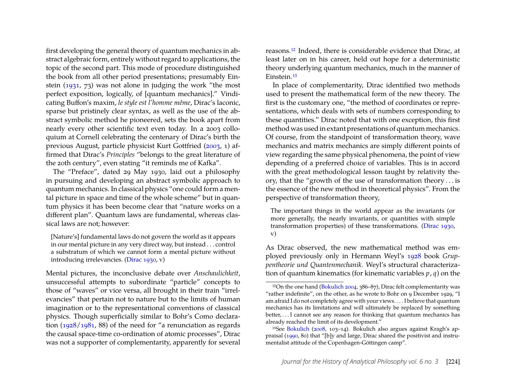first developing the general theory of quantum mechanics in abstract algebraic form, entirely without regard to applications, the topic of the second part. This mode of procedure distinguished the book from all other period presentations; presumably Einstein [\(1931,](#page-29-13) 73) was not alone in judging the work "the most perfect exposition, logically, of [quantum mechanics]." Vindicating Buffon's maxim, *le style est l'homme même*, Dirac's laconic, sparse but pristinely clear syntax, as well as the use of the abstract symbolic method he pioneered, sets the book apart from nearly every other scientific text even today. In a 2003 colloquium at Cornell celebrating the centenary of Dirac's birth the previous August, particle physicist Kurt Gottfried [\(2003,](#page-29-14) 1) affirmed that Dirac's *Principles* "belongs to the great literature of the 20th century", even stating "it reminds me of Kafka".

The "Preface", dated 29 May 1930, laid out a philosophy in pursuing and developing an abstract symbolic approach to quantum mechanics. In classical physics "one could form a mental picture in space and time of the whole scheme" but in quantum physics it has been become clear that "nature works on a different plan". Quantum laws are fundamental, whereas classical laws are not; however:

[Nature's] fundamental laws do not govern the world as it appears in our mental picture in any very direct way, but instead . . . control a substratum of which we cannot form a mental picture without introducing irrelevancies. [\(Dirac 1930,](#page-28-1) v)

Mental pictures, the inconclusive debate over *Anschaulichkeit*, unsuccessful attempts to subordinate "particle" concepts to those of "waves" or vice versa, all brought in their train "irrelevancies" that pertain not to nature but to the limits of human imagination or to the representational conventions of classical physics. Though superficially similar to Bohr's Como declaration [\(1928](#page-27-8)[/1981,](#page-30-6) 88) of the need for "a renunciation as regards the causal space-time co-ordination of atomic processes", Dirac was not a supporter of complementarity, apparently for several

reasons.[12](#page-11-0) Indeed, there is considerable evidence that Dirac, at least later on in his career, held out hope for a deterministic theory underlying quantum mechanics, much in the manner of Einstein.[13](#page-11-1)

In place of complementarity, Dirac identified two methods used to present the mathematical form of the new theory. The first is the customary one, "the method of coordinates or representations, which deals with sets of numbers corresponding to these quantities." Dirac noted that with one exception, this first method was used in extant presentations of quantum mechanics. Of course, from the standpoint of transformation theory, wave mechanics and matrix mechanics are simply different points of view regarding the same physical phenomena, the point of view depending of a preferred choice of variables. This is in accord with the great methodological lesson taught by relativity theory, that the "growth of the use of transformation theory . . . is the essence of the new method in theoretical physics". From the perspective of transformation theory,

The important things in the world appear as the invariants (or more generally, the nearly invariants, or quantities with simple transformation properties) of these transformations. [\(Dirac 1930,](#page-28-1) v)

As Dirac observed, the new mathematical method was employed previously only in Hermann Weyl's [1928](#page-30-9) book *Gruppentheorie und Quantenmechanik.* Weyl's structural characterization of quantum kinematics (for kinematic variables *p*, *q*) on the

<span id="page-11-0"></span><sup>12</sup>On the one hand [\(Bokulich 2004,](#page-27-3) 386–87), Dirac felt complementarity was "rather indefinite", on the other, as he wrote to Bohr on 9 December 1929, "I am afraid I do not completely agree with your views. . . . I believe that quantum mechanics has its limitations and will ultimately be replaced by something better, . . . I cannot see any reason for thinking that quantum mechanics has already reached the limit of its development."

<span id="page-11-1"></span><sup>13</sup>See [Bokulich](#page-27-4) [\(2008,](#page-27-4) 103–14). Bokulich also argues against Kragh's appraisal [\(1990,](#page-29-15) 80) that "[b]y and large, Dirac shared the positivist and instrumentalist attitude of the Copenhagen-Göttingen camp".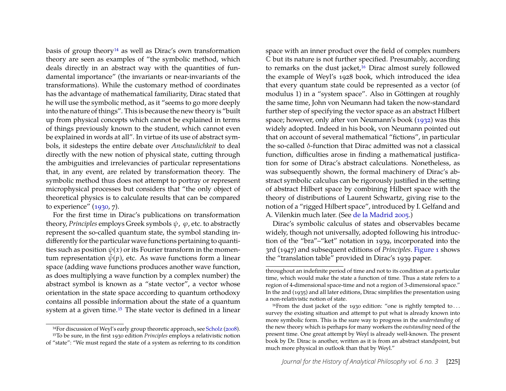basis of group theory<sup>[14](#page-12-0)</sup> as well as Dirac's own transformation theory are seen as examples of "the symbolic method, which deals directly in an abstract way with the quantities of fundamental importance" (the invariants or near-invariants of the transformations). While the customary method of coordinates has the advantage of mathematical familiarity, Dirac stated that he will use the symbolic method, as it "seems to go more deeply into the nature of things". This is because the new theory is "built up from physical concepts which cannot be explained in terms of things previously known to the student, which cannot even be explained in words at all". In virtue of its use of abstract symbols, it sidesteps the entire debate over *Anschaulichkeit* to deal directly with the new notion of physical state, cutting through the ambiguities and irrelevancies of particular representations that, in any event, are related by transformation theory. The symbolic method thus does not attempt to portray or represent microphysical processes but considers that "the only object of theoretical physics is to calculate results that can be compared to experience"  $(1930, 7)$ .

For the first time in Dirac's publications on transformation theory, *Principles* employs Greek symbols  $\psi$ ,  $\varphi$ , etc. to abstractly represent the so-called quantum state, the symbol standing indifferently for the particular wave functions pertaining to quantities such as position  $\psi(x)$  or its Fourier transform in the momentum representation  $\hat{\psi}(p)$ , etc. As wave functions form a linear space (adding wave functions produces another wave function, as does multiplying a wave function by a complex number) the abstract symbol is known as a "state vector", a vector whose orientation in the state space according to quantum orthodoxy contains all possible information about the state of a quantum system at a given time.<sup>[15](#page-12-1)</sup> The state vector is defined in a linear

<span id="page-12-1"></span><span id="page-12-0"></span>14For discussion of Weyl's early group theoretic approach, see [Scholz](#page-30-10) [\(2008\)](#page-30-10). 15To be sure, in the first 1930 edition *Principles* employs a relativistic notion of "state": "We must regard the state of a system as referring to its condition space with an inner product over the field of complex numbers C but its nature is not further specified. Presumably, according to remarks on the dust jacket,<sup>[16](#page-12-2)</sup> Dirac almost surely followed the example of Weyl's 1928 book, which introduced the idea that every quantum state could be represented as a vector (of modulus 1) in a "system space". Also in Göttingen at roughly the same time, John von Neumann had taken the now-standard further step of specifying the vector space as an abstract Hilbert space; however, only after von Neumann's book [\(1932\)](#page-30-11) was this widely adopted. Indeed in his book, von Neumann pointed out that on account of several mathematical "fictions", in particular the so-called δ-function that Dirac admitted was not a classical function, difficulties arose in finding a mathematical justification for some of Dirac's abstract calculations. Nonetheless, as was subsequently shown, the formal machinery of Dirac's abstract symbolic calculus can be rigorously justified in the setting of abstract Hilbert space by combining Hilbert space with the theory of distributions of Laurent Schwartz, giving rise to the notion of a "rigged Hilbert space", introduced by I. Gelfand and A. Vilenkin much later. (See [de la Madrid 2005.](#page-28-8))

Dirac's symbolic calculus of states and observables became widely, though not universally, adopted following his introduction of the "bra"–"ket" notation in 1939, incorporated into the 3rd (1947) and subsequent editions of *Principles*. [Figure 1](#page-13-0) shows the "translation table" provided in Dirac's 1939 paper.

throughout an indefinite period of time and not to its condition at a particular time, which would make the state a function of time. Thus a state refers to a region of 4-dimensional space-time and not a region of 3-dimensional space." In the 2nd (1935) and all later editions, Dirac simplifies the presentation using a non-relativistic notion of state.

<span id="page-12-2"></span><sup>&</sup>lt;sup>16</sup>From the dust jacket of the 1930 edition: "one is rightly tempted to... survey the existing situation and attempt to put what is already known into more symbolic form. This is the sure way to progress in the *understanding* of the new theory which is perhaps for many workers the *outstanding* need of the present time. One great attempt by Weyl is already well-known. The present book by Dr. Dirac is another, written as it is from an abstract standpoint, but much more physical in outlook than that by Weyl."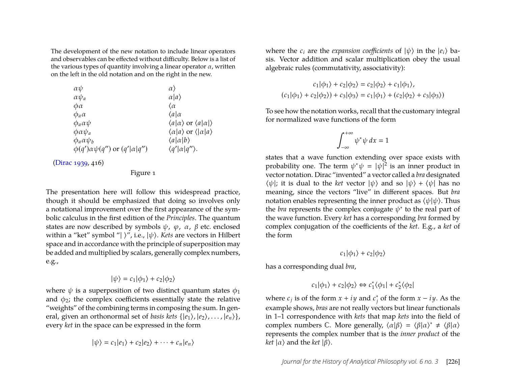The development of the new notation to include linear operators and observables can be effected without difficulty. Below is a list of the various types of quantity involving a linear operator  $\alpha$ , written on the left in the old notation and on the right in the new.

| $\alpha \psi$                                  | $\alpha$                                                     |
|------------------------------------------------|--------------------------------------------------------------|
| $\alpha \psi_a$                                | $\alpha a\rangle$                                            |
| $\phi \alpha$                                  | $\langle \alpha$                                             |
| $\phi_a \alpha$                                | $\langle a   \alpha$                                         |
| $\phi_a \alpha \psi$                           | $\langle a   \alpha \rangle$ or $\langle a   \alpha \rangle$ |
| $\phi \alpha \psi_a$                           | $\langle \alpha   a \rangle$ or $\langle  \alpha  a \rangle$ |
| $\phi_a \alpha \psi_b$                         | $\langle a \alpha b\rangle$                                  |
| $\phi(q')\alpha\psi(q'')$ or $(q' \alpha q'')$ | $\langle q' \alpha q''\rangle.$                              |
|                                                |                                                              |

<span id="page-13-0"></span>[\(Dirac 1939,](#page-28-9) 416)

Figure 1

The presentation here will follow this widespread practice, though it should be emphasized that doing so involves only a notational improvement over the first appearance of the symbolic calculus in the first edition of the *Principles*. The quantum states are now described by symbols  $\psi$ ,  $\varphi$ ,  $\alpha$ ,  $\beta$  etc. enclosed within a "ket" symbol " $| \rangle$ ", i.e.,  $| \psi \rangle$ . *Kets* are vectors in Hilbert space and in accordance with the principle of superposition may be added and multiplied by scalars, generally complex numbers, e.g.,

$$
|\psi\rangle = c_1|\phi_1\rangle + c_2|\phi_2\rangle
$$

where  $\psi$  is a superposition of two distinct quantum states  $\phi_1$ and  $\phi_2$ ; the complex coefficients essentially state the relative "weights" of the combining terms in composing the sum. In general, given an orthonormal set of *basis kets*  $\{|e_1\rangle, |e_2\rangle, \dots, |e_n\rangle\},\$ every *ket* in the space can be expressed in the form

$$
|\psi\rangle = c_1|e_1\rangle + c_2|e_2\rangle + \cdots + c_n|e_n\rangle
$$

where the  $c_i$  are the *expansion coefficients* of  $|\psi\rangle$  in the  $|e_i\rangle$  basis. Vector addition and scalar multiplication obey the usual algebraic rules (commutativity, associativity):

$$
c_1|\phi_1\rangle + c_2|\phi_2\rangle = c_2|\phi_2\rangle + c_1|\phi_1\rangle,
$$
  

$$
(c_1|\phi_1\rangle + c_2|\phi_2\rangle) + c_3|\phi_3\rangle = c_1|\phi_1\rangle + (c_2|\phi_2\rangle + c_3|\phi_3\rangle)
$$

To see how the notation works, recall that the customary integral for normalized wave functions of the form

$$
\int_{-\infty}^{+\infty} \psi^* \psi \, dx = 1
$$

states that a wave function extending over space exists with probability one. The term  $\psi^*\psi = |\psi|^2$  is an inner product in vector notation. Dirac "invented" a vector called a *bra* designated  $\langle \psi |$ ; it is dual to the *ket* vector  $|\psi\rangle$  and so  $|\psi\rangle + \langle \psi |$  has no meaning, since the vectors "live" in different spaces. But *bra* notation enables representing the inner product as  $\langle \psi | \psi \rangle$ . Thus the *bra* represents the complex conjugate  $\psi^*$  to the real part of the wave function. Every *ket* has a corresponding *bra* formed by complex conjugation of the coefficients of the *ket*. E.g., a *ket* of the form

$$
c_1|\phi_1\rangle+c_2|\phi_2\rangle
$$

has a corresponding dual *bra*,

$$
c_1|\phi_1\rangle+c_2|\phi_2\rangle\Leftrightarrow c_1^*\langle\phi_1|+c_2^*\langle\phi_2|
$$

where  $c_j$  is of the form  $x + iy$  and  $c_j^*$ *j* of the form *x* − *i y*. As the example shows, *bras* are not really vectors but linear functionals in 1–1 correspondence with *kets* that map *kets* into the field of complex numbers C. More generally,  $\langle \alpha | \beta \rangle = \langle \beta | \alpha \rangle^* \neq \langle \beta | \alpha \rangle$ represents the complex number that is the *inner product* of the *ket*  $|\alpha\rangle$  and the *ket*  $|\beta\rangle$ .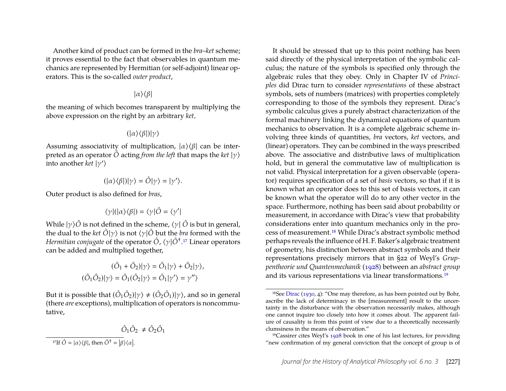Another kind of product can be formed in the *bra*–*ket* scheme; it proves essential to the fact that observables in quantum mechanics are represented by Hermitian (or self-adjoint) linear operators. This is the so-called *outer product*,

# $|\alpha\rangle\langle\beta|$

the meaning of which becomes transparent by multiplying the above expression on the right by an arbitrary *ket,*

# $(|\alpha\rangle\langle\beta|)|\gamma\rangle$

Assuming associativity of multiplication,  $|\alpha\rangle\langle\beta|$  can be interpreted as an operator  $\hat{O}$  acting *from the left* that maps the *ket*  $|\gamma\rangle$ into another *ket*  $|\gamma'\rangle$ 

$$
(|\alpha\rangle\langle\beta|)|\gamma\rangle = \hat{O}|\gamma\rangle = |\gamma'\rangle.
$$

Outer product is also defined for *bras*,

$$
\langle \gamma|(|\alpha\rangle\langle\beta|)=\langle \gamma|\hat{O}=\langle \gamma'|
$$

While  $|\gamma\rangle \hat{O}$  is not defined in the scheme,  $\langle \gamma | \hat{O}$  is but in general, the dual to the *ket*  $\hat{O}|\gamma\rangle$  is not  $\langle \gamma|\hat{O}$  but the *bra* formed with the *Hermitian conjugate* of the operator  $\hat{O}$ ,  $\langle \gamma | \hat{O}^{\dagger}$ .<sup>[17](#page-14-0)</sup> Linear operators can be added and multiplied together,

$$
\begin{aligned} (\hat{O}_1+\hat{O}_2)|\gamma\rangle &= \hat{O}_1|\gamma\rangle+\hat{O}_2|\gamma\rangle,\\ (\hat{O}_1\hat{O}_2)|\gamma\rangle &= \hat{O}_1(\hat{O}_2|\gamma\rangle=\hat{O}_1|\gamma'\rangle=\gamma''\rangle \end{aligned}
$$

But it is possible that  $(\hat{O}_1\hat{O}_2)|\gamma\rangle\neq (\hat{O}_2\hat{O}_1)|\gamma\rangle$ , and so in general (there *are* exceptions), multiplication of operators is noncommutative,

$$
\hat{O}_1\hat{O}_2 \neq \hat{O}_2\hat{O}_1
$$

<span id="page-14-0"></span><sup>17</sup>If 
$$
\hat{O} = |\alpha\rangle\langle\beta|
$$
, then  $\hat{O}^{\dagger} = |\beta\rangle\langle\alpha|$ .

It should be stressed that up to this point nothing has been said directly of the physical interpretation of the symbolic calculus; the nature of the symbols is specified only through the algebraic rules that they obey. Only in Chapter IV of *Principles* did Dirac turn to consider *representations* of these abstract symbols, sets of numbers (matrices) with properties completely corresponding to those of the symbols they represent. Dirac's symbolic calculus gives a purely abstract characterization of the formal machinery linking the dynamical equations of quantum mechanics to observation. It is a complete algebraic scheme involving three kinds of quantities, *bra* vectors, *ket* vectors, and (linear) operators. They can be combined in the ways prescribed above. The associative and distributive laws of multiplication hold, but in general the commutative law of multiplication is not valid. Physical interpretation for a given observable (operator) requires specification of a set of *basis* vectors, so that if it is known what an operator does to this set of basis vectors, it can be known what the operator will do to any other vector in the space. Furthermore, nothing has been said about probability or measurement, in accordance with Dirac's view that probability considerations enter into quantum mechanics only in the process of measurement.[18](#page-14-1) While Dirac's abstract symbolic method perhaps reveals the influence of H. F. Baker's algebraic treatment of geometry, his distinction between abstract symbols and their representations precisely mirrors that in §22 of Weyl's *Gruppentheorie und Quantenmechanik* [\(1928\)](#page-30-9) between an *abstract group* and its various representations via linear transformations.[19](#page-14-2)

<span id="page-14-1"></span><sup>18</sup>See [Dirac](#page-28-1) [\(1930,](#page-28-1) 4): "One may therefore, as has been pointed out by Bohr, ascribe the lack of determinacy in the [measurement] result to the uncertainty in the disturbance with the observation necessarily makes, although one cannot inquire too closely into how it comes about. The apparent failure of causality is from this point of view due to a theoretically necessarily clumsiness in the means of observation."

<span id="page-14-2"></span><sup>19</sup>Cassirer cites Weyl's [1928](#page-30-9) book in one of his last lectures, for providing "new confirmation of my general conviction that the concept of group is of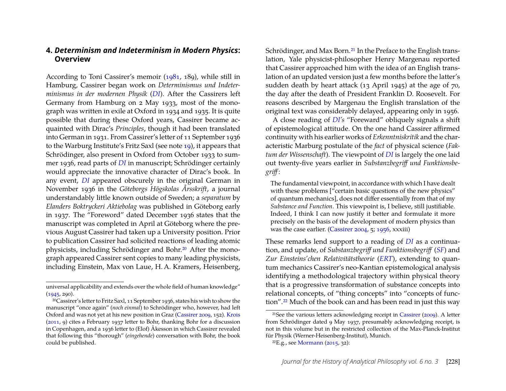#### <span id="page-15-0"></span>**4.** *Determinism and Indeterminism in Modern Physics***: Overview**

According to Toni Cassirer's memoir [\(1981,](#page-28-10) 189), while still in Hamburg, Cassirer began work on *Determinismus und Indeterminismus in der modernen Physik* (*[DI](#page-27-0)*). After the Cassirers left Germany from Hamburg on 2 May 1933, most of the monograph was written in exile at Oxford in 1934 and 1935. It is quite possible that during these Oxford years, Cassirer became acquainted with Dirac's *Principles*, though it had been translated into German in 1931. From Cassirer's letter of 11 September 1936 to the Warburg Institute's Fritz Saxl (see note [19\)](#page-14-2), it appears that Schrödinger, also present in Oxford from October 1933 to summer 1936, read parts of *[DI](#page-27-0)* in manuscript; Schrödinger certainly would appreciate the innovative character of Dirac's book. In any event, *[DI](#page-27-0)* appeared obscurely in the original German in November 1936 in the *Göteborgs Högskolas Årsskrift*, a journal understandably little known outside of Sweden; a *separatum* by *Elanders Boktryckeri Aktiebolag* was published in Göteborg early in 1937. The "Foreword" dated December 1936 states that the manuscript was completed in April at Göteborg where the previous August Cassirer had taken up a University position. Prior to publication Cassirer had solicited reactions of leading atomic physicists, including Schrödinger and Bohr.[20](#page-15-1) After the monograph appeared Cassirer sent copies to many leading physicists, including Einstein, Max von Laue, H. A. Kramers, Heisenberg,

Schrödinger, and Max Born.<sup>[21](#page-15-2)</sup> In the Preface to the English translation, Yale physicist-philosopher Henry Margenau reported that Cassirer approached him with the idea of an English translation of an updated version just a few months before the latter's sudden death by heart attack (13 April 1945) at the age of 70, the day after the death of President Franklin D. Roosevelt. For reasons described by Margenau the English translation of the original text was considerably delayed, appearing only in 1956.

A close reading of *[DI'](#page-27-0)s* "Foreward" obliquely signals a shift of epistemological attitude. On the one hand Cassirer affirmed continuity with his earlier works of *Erkenntniskritik* and the characteristic Marburg postulate of the *fact* of physical science (*Faktum der Wissenschaft*). The viewpoint of *[DI](#page-27-0)* is largely the one laid out twenty-five years earlier in *Substanzbegriff und Funktionsbegriff* :

The fundamental viewpoint, in accordance with which I have dealt with these problems ["certain basic questions of the new physics" of quantum mechanics], does not differ essentially from that of my *Substance and Function*. This viewpoint is, I believe, still justifiable. Indeed, I think I can now justify it better and formulate it more precisely on the basis of the development of modern physics than was the case earlier. [\(Cassirer 2004,](#page-28-13) 5; [1956,](#page-28-14) xxxiii)

These remarks lend support to a reading of *[DI](#page-27-0)* as a continuation, and update, of *Substanzbegriff und Funktionsbegriff* (*[SF](#page-27-2)*) and *Zur Einsteins'chen Relativitätstheorie* (*[ERT](#page-27-1)*), extending to quantum mechanics Cassirer's neo-Kantian epistemological analysis identifying a methodological trajectory within physical theory that is a progressive transformation of substance concepts into relational concepts, of "thing concepts" into "concepts of function".[22](#page-15-3) Much of the book can and has been read in just this way

universal applicability and extends over the whole field of human knowledge"  $(1945, 290).$  $(1945, 290).$ 

<span id="page-15-1"></span><sup>20</sup>Cassirer's letter to Fritz Saxl, 11 September 1936, states his wish to show the manuscript "once again" (*noch einmal*) to Schrödinger who, however, had left Oxford and was not yet at his new position in Graz [\(Cassirer 2009,](#page-28-12) 152). [Krois](#page-29-16) [\(2011,](#page-29-16) 9) cites a February 1937 letter to Bohr, thanking Bohr for a discussion in Copenhagen, and a 1936 letter to (Elof) Åkesson in which Cassirer revealed that following this "thorough" (*eingehende*) conversation with Bohr, the book could be published.

<span id="page-15-2"></span><sup>21</sup>See the various letters acknowledging receipt in [Cassirer](#page-28-12) [\(2009\)](#page-28-12). A letter from Schrödinger dated 9 May 1937, presumably acknowledging receipt, is not in this volume but in the restricted collection of the Max-Planck-Institut für Physik (Werner-Heisenberg-Institut), Munich.

<span id="page-15-3"></span><sup>22</sup>E.g., see [Mormann](#page-30-12) [\(2015,](#page-30-12) 32):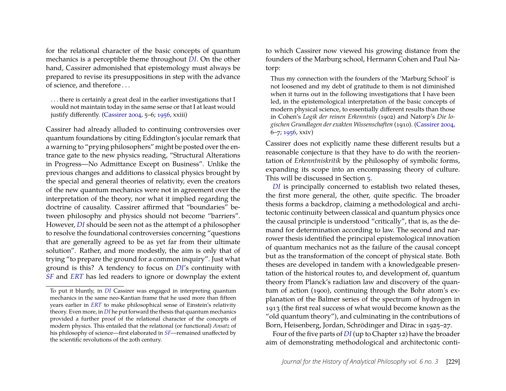for the relational character of the basic concepts of quantum mechanics is a perceptible theme throughout *[DI](#page-27-0)*. On the other hand, Cassirer admonished that epistemology must always be prepared to revise its presuppositions in step with the advance of science, and therefore . . .

. . . there is certainly a great deal in the earlier investigations that I would not maintain today in the same sense or that I at least would justify differently. [\(Cassirer 2004,](#page-28-13) 5–6; [1956,](#page-28-14) xxiii)

Cassirer had already alluded to continuing controversies over quantum foundations by citing Eddington's jocular remark that a warning to "prying philosophers" might be posted over the entrance gate to the new physics reading, "Structural Alterations in Progress—No Admittance Except on Business". Unlike the previous changes and additions to classical physics brought by the special and general theories of relativity, even the creators of the new quantum mechanics were not in agreement over the interpretation of the theory, nor what it implied regarding the doctrine of causality. Cassirer affirmed that "boundaries" between philosophy and physics should not become "barriers". However, *[DI](#page-27-0)* should be seen not as the attempt of a philosopher to resolve the foundational controversies concerning "questions that are generally agreed to be as yet far from their ultimate solution". Rather, and more modestly, the aim is only that of trying "to prepare the ground for a common inquiry". Just what ground is this? A tendency to focus on *[DI](#page-27-0)*'s continuity with *[SF](#page-27-2)* and *[ERT](#page-27-1)* has led readers to ignore or downplay the extent to which Cassirer now viewed his growing distance from the founders of the Marburg school, Hermann Cohen and Paul Natorp:

Thus my connection with the founders of the 'Marburg School' is not loosened and my debt of gratitude to them is not diminished when it turns out in the following investigations that I have been led, in the epistemological interpretation of the basic concepts of modern physical science, to essentially different results than those in Cohen's *Logik der reinen Erkenntnis* (1902) and Natorp's *Die logischen Grundlagen der exakten Wissenschaften* (1910). [\(Cassirer 2004,](#page-28-13) 6–7; [1956,](#page-28-14) xxiv)

Cassirer does not explicitly name these different results but a reasonable conjecture is that they have to do with the reorientation of *Erkenntniskritik* by the philosophy of symbolic forms, expanding its scope into an encompassing theory of culture. This will be discussed in Section [5.](#page-20-0)

*[DI](#page-27-0)* is principally concerned to establish two related theses, the first more general, the other, quite specific. The broader thesis forms a backdrop, claiming a methodological and architectonic continuity between classical and quantum physics once the causal principle is understood "critically", that is, as the demand for determination according to law. The second and narrower thesis identified the principal epistemological innovation of quantum mechanics not as the failure of the causal concept but as the transformation of the concept of physical state. Both theses are developed in tandem with a knowledgeable presentation of the historical routes to, and development of, quantum theory from Planck's radiation law and discovery of the quantum of action (1900), continuing through the Bohr atom's explanation of the Balmer series of the spectrum of hydrogen in 1913 (the first real success of what would become known as the "old quantum theory"), and culminating in the contributions of Born, Heisenberg, Jordan, Schrödinger and Dirac in 1925–27.

Four of the five parts of *[DI](#page-27-0)* (up to Chapter 12) have the broader aim of demonstrating methodological and architectonic conti-

To put it bluntly, in *[DI](#page-27-0)* Cassirer was engaged in interpreting quantum mechanics in the same neo-Kantian frame that he used more than fifteen years earlier in *[ERT](#page-27-1)* to make philosophical sense of Einstein's relativity theory. Even more, in *[DI](#page-27-0)* he put forward the thesis that quantum mechanics provided a further proof of the relational character of the concepts of modern physics. This entailed that the relational (or functional) *Ansatz* of his philosophy of science—first elaborated in *[SF](#page-27-2)*—remained unaffected by the scientific revolutions of the 20th century.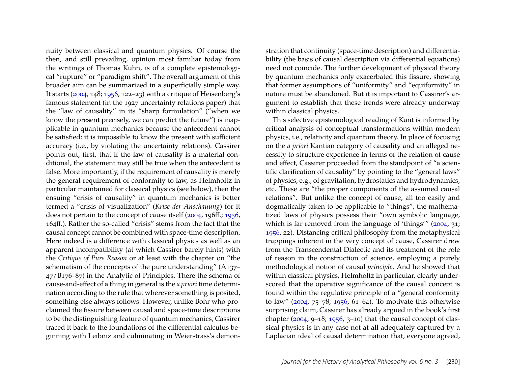nuity between classical and quantum physics. Of course the then, and still prevailing, opinion most familiar today from the writings of Thomas Kuhn, is of a complete epistemological "rupture" or "paradigm shift". The overall argument of this broader aim can be summarized in a superficially simple way. It starts [\(2004,](#page-28-13) 148; [1956,](#page-28-14) 122–23) with a critique of Heisenberg's famous statement (in the 1927 uncertainty relations paper) that the "law of causality" in its "sharp formulation" ("when we know the present precisely, we can predict the future") is inapplicable in quantum mechanics because the antecedent cannot be satisfied: it is impossible to know the present with sufficient accuracy (i.e., by violating the uncertainty relations). Cassirer points out, first, that if the law of causality is a material conditional, the statement may still be true when the antecedent is false. More importantly, if the requirement of causality is merely the general requirement of conformity to law, as Helmholtz in particular maintained for classical physics (see below), then the ensuing "crisis of causality" in quantum mechanics is better termed a "crisis of visualization" (*Krise der Anschauung*) for it does not pertain to the concept of cause itself [\(2004,](#page-28-13) 196ff.; [1956,](#page-28-14) 164ff.). Rather the so-called "crisis" stems from the fact that the causal concept cannot be combined with space-time description. Here indeed is a difference with classical physics as well as an apparent incompatibility (at which Cassirer barely hints) with the *Critique of Pure Reason* or at least with the chapter on "the schematism of the concepts of the pure understanding" (A137– 47/B176–87) in the Analytic of Principles. There the schema of cause-and-effect of a thing in general is the *a priori* time determination according to the rule that wherever something is posited, something else always follows. However, unlike Bohr who proclaimed the fissure between causal and space-time descriptions to be the distinguishing feature of quantum mechanics, Cassirer traced it back to the foundations of the differential calculus beginning with Leibniz and culminating in Weierstrass's demon-

stration that continuity (space-time description) and differentiability (the basis of causal description via differential equations) need not coincide. The further development of physical theory by quantum mechanics only exacerbated this fissure, showing that former assumptions of "uniformity" and "equiformity" in nature must be abandoned. But it is important to Cassirer's argument to establish that these trends were already underway within classical physics.

This selective epistemological reading of Kant is informed by critical analysis of conceptual transformations within modern physics, i.e., relativity and quantum theory. In place of focusing on the *a priori* Kantian category of causality and an alleged necessity to structure experience in terms of the relation of cause and effect, Cassirer proceeded from the standpoint of "a scientific clarification of causality" by pointing to the "general laws" of physics, e.g., of gravitation, hydrostatics and hydrodynamics, etc. These are "the proper components of the assumed causal relations". But unlike the concept of cause, all too easily and dogmatically taken to be applicable to "things", the mathematized laws of physics possess their "own symbolic language, which is far removed from the language of 'things'" [\(2004,](#page-28-13) 31; [1956,](#page-28-14) 22). Distancing critical philosophy from the metaphysical trappings inherent in the very concept of cause, Cassirer drew from the Transcendental Dialectic and its treatment of the role of reason in the construction of science, employing a purely methodological notion of causal *principle*. And he showed that within classical physics, Helmholtz in particular, clearly underscored that the operative significance of the causal concept is found within the regulative principle of a "general conformity to law" [\(2004,](#page-28-13) 75–78; [1956,](#page-28-14) 61–64). To motivate this otherwise surprising claim, Cassirer has already argued in the book's first chapter  $(2004, 9-18; 1956, 3-10)$  $(2004, 9-18; 1956, 3-10)$  $(2004, 9-18; 1956, 3-10)$  that the causal concept of classical physics is in any case not at all adequately captured by a Laplacian ideal of causal determination that, everyone agreed,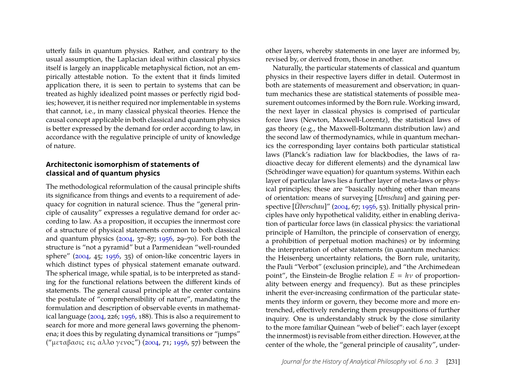utterly fails in quantum physics. Rather, and contrary to the usual assumption, the Laplacian ideal within classical physics itself is largely an inapplicable metaphysical fiction, not an empirically attestable notion. To the extent that it finds limited application there, it is seen to pertain to systems that can be treated as highly idealized point masses or perfectly rigid bodies; however, it is neither required nor implementable in systems that cannot, i.e., in many classical physical theories. Hence the causal concept applicable in both classical and quantum physics is better expressed by the demand for order according to law, in accordance with the regulative principle of unity of knowledge of nature.

#### **Architectonic isomorphism of statements of classical and of quantum physics**

The methodological reformulation of the causal principle shifts its significance from things and events to a requirement of adequacy for cognition in natural science. Thus the "general principle of causality" expresses a regulative demand for order according to law. As a proposition, it occupies the innermost core of a structure of physical statements common to both classical and quantum physics [\(2004,](#page-28-13) 37–87; [1956,](#page-28-14) 29–70). For both the structure is "not a pyramid" but a Parmenidean "well-rounded sphere" [\(2004,](#page-28-13) 45; [1956,](#page-28-14) 35) of onion-like concentric layers in which distinct types of physical statement emanate outward. The spherical image, while spatial, is to be interpreted as standing for the functional relations between the different kinds of statements. The general causal principle at the center contains the postulate of "comprehensibility of nature", mandating the formulation and description of observable events in mathematical language [\(2004,](#page-28-13) 226; [1956,](#page-28-14) 188). This is also a requirement to search for more and more general laws governing the phenomena; it does this by regulating dynamical transitions or "jumps" ("µεταβασις εις αλλo γενoς") [\(2004,](#page-28-13) 71; [1956,](#page-28-14) 57) between the other layers, whereby statements in one layer are informed by, revised by, or derived from, those in another.

Naturally, the particular statements of classical and quantum physics in their respective layers differ in detail. Outermost in both are statements of measurement and observation; in quantum mechanics these are statistical statements of possible measurement outcomes informed by the Born rule. Working inward, the next layer in classical physics is comprised of particular force laws (Newton, Maxwell-Lorentz), the statistical laws of gas theory (e.g., the Maxwell-Boltzmann distribution law) and the second law of thermodynamics, while in quantum mechanics the corresponding layer contains both particular statistical laws (Planck's radiation law for blackbodies, the laws of radioactive decay for different elements) and the dynamical law (Schrödinger wave equation) for quantum systems. Within each layer of particular laws lies a further layer of meta-laws or physical principles; these are "basically nothing other than means of orientation: means of surveying [*Umschau*] and gaining perspective [*Überschau*]" [\(2004,](#page-28-13) 67; [1956,](#page-28-14) 53). Initially physical principles have only hypothetical validity, either in enabling derivation of particular force laws (in classical physics: the variational principle of Hamilton, the principle of conservation of energy, a prohibition of perpetual motion machines) or by informing the interpretation of other statements (in quantum mechanics: the Heisenberg uncertainty relations, the Born rule, unitarity, the Pauli "Verbot" (exclusion principle), and "the Archimedean point", the Einstein-de Broglie relation  $E = hv$  of proportionality between energy and frequency). But as these principles inherit the ever-increasing confirmation of the particular statements they inform or govern, they become more and more entrenched, effectively rendering them presuppositions of further inquiry. One is understandably struck by the close similarity to the more familiar Quinean "web of belief": each layer (except the innermost) is revisable from either direction. However, at the center of the whole, the "general principle of causality", under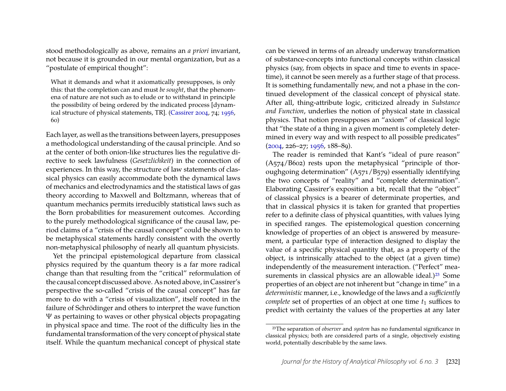stood methodologically as above, remains an *a priori* invariant, not because it is grounded in our mental organization, but as a "postulate of empirical thought":

What it demands and what it axiomatically presupposes, is only this: that the completion can and must *be sought*, that the phenomena of nature are not such as to elude or to withstand in principle the possibility of being ordered by the indicated process [dynamical structure of physical statements, TR]. [\(Cassirer 2004,](#page-28-13) 74; [1956,](#page-28-14) 60)

Each layer, as well as the transitions between layers, presupposes a methodological understanding of the causal principle. And so at the center of both onion-like structures lies the regulative directive to seek lawfulness (*Gesetzlichkeit*) in the connection of experiences. In this way, the structure of law statements of classical physics can easily accommodate both the dynamical laws of mechanics and electrodynamics and the statistical laws of gas theory according to Maxwell and Boltzmann, whereas that of quantum mechanics permits irreducibly statistical laws such as the Born probabilities for measurement outcomes. According to the purely methodological significance of the causal law, period claims of a "crisis of the causal concept" could be shown to be metaphysical statements hardly consistent with the overtly non-metaphysical philosophy of nearly all quantum physicists.

Yet the principal epistemological departure from classical physics required by the quantum theory is a far more radical change than that resulting from the "critical" reformulation of the causal concept discussed above. As noted above, in Cassirer's perspective the so-called "crisis of the causal concept" has far more to do with a "crisis of visualization", itself rooted in the failure of Schrödinger and others to interpret the wave function Ψ as pertaining to waves or other physical objects propagating in physical space and time. The root of the difficulty lies in the fundamental transformation of the very concept of physical state itself. While the quantum mechanical concept of physical state

can be viewed in terms of an already underway transformation of substance-concepts into functional concepts within classical physics (say, from objects in space and time to events in spacetime), it cannot be seen merely as a further stage of that process. It is something fundamentally new, and not a phase in the continued development of the classical concept of physical state. After all, thing-attribute logic, criticized already in *Substance and Function*, underlies the notion of physical state in classical physics. That notion presupposes an "axiom" of classical logic that "the state of a thing in a given moment is completely determined in every way and with respect to all possible predicates" [\(2004,](#page-28-13) 226–27; [1956,](#page-28-14) 188–89).

The reader is reminded that Kant's "ideal of pure reason" (A574/B602) rests upon the metaphysical "principle of thoroughgoing determination" (A571/B579) essentially identifying the two concepts of "reality" and "complete determination". Elaborating Cassirer's exposition a bit, recall that the "object" of classical physics is a bearer of determinate properties, and that in classical physics it is taken for granted that properties refer to a definite class of physical quantities, with values lying in specified ranges. The epistemological question concerning knowledge of properties of an object is answered by measurement, a particular type of interaction designed to display the value of a specific physical quantity that, as a property of the object, is intrinsically attached to the object (at a given time) independently of the measurement interaction. ("Perfect" mea-surements in classical physics are an allowable ideal.)<sup>[23](#page-19-0)</sup> Some properties of an object are not inherent but "change in time" in a *deterministic* manner, i.e., knowledge of the laws and a *sufficiently complete* set of properties of an object at one time  $t_1$  suffices to predict with certainty the values of the properties at any later

<span id="page-19-0"></span><sup>23</sup>The separation of *observer* and *system* has no fundamental significance in classical physics; both are considered parts of a single, objectively existing world, potentially describable by the same laws.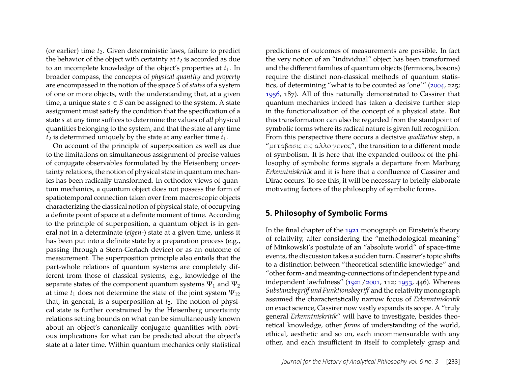(or earlier) time *t*<sub>2</sub>. Given deterministic laws, failure to predict the behavior of the object with certainty at  $t_2$  is accorded as due to an incomplete knowledge of the object's properties at *t*1. In broader compass, the concepts of *physical quantity* and *property* are encompassed in the notion of the space *S* of *states* of a system of one or more objects, with the understanding that, at a given time, a unique state  $s \in S$  can be assigned to the system. A state assignment must satisfy the condition that the specification of a state *s* at any time suffices to determine the values of *all* physical quantities belonging to the system, and that the state at any time *t*<sup>2</sup> is determined uniquely by the state at any earlier time *t*1.

On account of the principle of superposition as well as due to the limitations on simultaneous assignment of precise values of conjugate observables formulated by the Heisenberg uncertainty relations, the notion of physical state in quantum mechanics has been radically transformed. In orthodox views of quantum mechanics, a quantum object does not possess the form of spatiotemporal connection taken over from macroscopic objects characterizing the classical notion of physical state, of occupying a definite point of space at a definite moment of time. According to the principle of superposition, a quantum object is in general not in a determinate (*eigen-*) state at a given time, unless it has been put into a definite state by a preparation process (e.g., passing through a Stern-Gerlach device) or as an outcome of measurement. The superposition principle also entails that the part-whole relations of quantum systems are completely different from those of classical systems; e.g., knowledge of the separate states of the component quantum systems  $\Psi_1$  and  $\Psi_2$ at time  $t_1$  does not determine the state of the joint system  $\Psi_{12}$ that, in general, is a superposition at  $t_2$ . The notion of physical state is further constrained by the Heisenberg uncertainty relations setting bounds on what can be simultaneously known about an object's canonically conjugate quantities with obvious implications for what can be predicted about the object's state at a later time. Within quantum mechanics only statistical predictions of outcomes of measurements are possible. In fact the very notion of an "individual" object has been transformed and the different families of quantum objects (fermions, bosons) require the distinct non-classical methods of quantum statistics, of determining "what is to be counted as 'one'" [\(2004,](#page-28-13) 225; [1956,](#page-28-14) 187). All of this naturally demonstrated to Cassirer that quantum mechanics indeed has taken a decisive further step in the functionalization of the concept of a physical state. But this transformation can also be regarded from the standpoint of symbolic forms where its radical nature is given full recognition. From this perspective there occurs a decisive *qualitative* step, a "μεταβασις εις αλλο γενος", the transition to a different mode of symbolism. It is here that the expanded outlook of the philosophy of symbolic forms signals a departure from Marburg *Erkenntniskritik* and it is here that a confluence of Cassirer and Dirac occurs. To see this, it will be necessary to briefly elaborate motivating factors of the philosophy of symbolic forms.

# <span id="page-20-0"></span>**5. Philosophy of Symbolic Forms**

In the final chapter of the [1921](#page-27-1) monograph on Einstein's theory of relativity, after considering the "methodological meaning" of Minkowski's postulate of an "absolute world" of space-time events, the discussion takes a sudden turn. Cassirer's topic shifts to a distinction between "theoretical scientific knowledge" and "other form- and meaning-connections of independent type and independent lawfulness" [\(1921/](#page-27-1)[2001,](#page-28-15) 112; [1953,](#page-28-16) 446). Whereas *Substanzbegriff und Funktionsbegriff* and the relativity monograph assumed the characteristically narrow focus of *Erkenntniskritik* on exact science, Cassirer now vastly expands its scope. A "truly general *Erkenntniskritik*" will have to investigate, besides theoretical knowledge, other *forms* of understanding of the world, ethical, aesthetic and so on, each incommensurable with any other, and each insufficient in itself to completely grasp and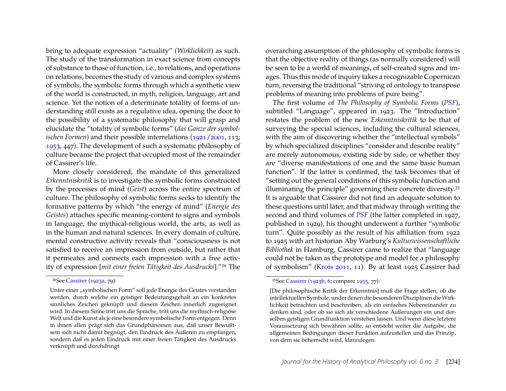bring to adequate expression "actuality" (*Wirklichkeit*) as such. The study of the transformation in exact science from concepts of substance to those of function, i.e., to relations, and operations on relations, becomes the study of various and complex systems of symbols, the symbolic forms through which a synthetic view of the world is constructed, in myth, religion, language, art and science. Yet the notion of a determinate totality of forms of understanding still exists as a regulative idea, opening the door to the possibility of a systematic philosophy that will grasp and elucidate the "totality of symbolic forms" (*das Ganze der symbolischen Formen*) and their possible interrelations [\(1921/](#page-27-1)[2001,](#page-28-15) 113; [1953,](#page-28-16) 447). The development of such a systematic philosophy of culture became the project that occupied most of the remainder of Cassirer's life.

More closely considered, the mandate of this generalized *Erkenntniskritik* is to investigate the symbolic forms constructed by the processes of mind (*Geist*) across the entire spectrum of culture. The philosophy of symbolic forms seeks to identify the formative patterns by which "the energy of mind" (*Energie des Geistes*) attaches specific meaning-content to signs and symbols in language, the mythical-religious world, the arts, as well as in the human and natural sciences. In every domain of culture, mental constructive activity reveals that "consciousness is not satisfied to receive an impression from outside, but rather that it permeates and connects each impression with a free activity of expression [*mit einer freien Tätigkeit des Ausdrucks*]."[24](#page-21-0) The overarching assumption of the philosophy of symbolic forms is that the objective reality of things (as normally considered) will be seen to be a world of meanings, of self-created signs and images. Thus this mode of inquiry takes a recognizable Copernican turn, reversing the traditional "striving of ontology to transpose problems of meaning into problems of pure being".

The first volume of *The Philosophy of Symbolic Forms* (*[PSF](#page-27-11)*), subtitled "Language", appeared in 1923. The "Introduction" restates the problem of the new *Erkenntniskritik* to be that of surveying the special sciences, including the cultural sciences, with the aim of discovering whether the "intellectual symbols" by which specialized disciplines "consider and describe reality" are merely autonomous, existing side by side, or whether they are "diverse manifestations of one and the same basic human function". If the latter is confirmed, the task becomes that of "setting out the general conditions of this symbolic function and illuminating the principle" governing their concrete diversity.[25](#page-21-1) It is arguable that Cassirer did not find an adequate solution to these questions until later, and that midway through writing the second and third volumes of *[PSF](#page-27-11)* (the latter completed in 1927, published in 1929), his thought underwent a further "symbolic turn". Quite possibly as the result of his affiliation from 1922 to 1925 with art historian Aby Warburg's *Kulturwissenschaftliche Bibliothek* in Hamburg, Cassirer came to realize that "language could not be taken as the prototype and model for a philosophy of symbolism" [\(Krois 2011,](#page-29-16) 11). By at least 1925 Cassirer had

<span id="page-21-0"></span><sup>24</sup>See [Cassirer](#page-27-10) [\(1923a,](#page-27-10) 79):

Unter einer "symbolischen Form" soll jede Energie des Geistes verstanden werden, durch welche ein geistiger Bedeutungsgehalt an ein konkretes sinnliches Zeichen geknüpft und diesem Zeichen innerlich zugeeignet wird. In diesem Sinne tritt uns die Sprache, tritt uns die mythisch-religiöse Welt und die Kunst als je eine besondere symbolische Form entgegen. Denn in ihnen allen prägt sich das Grundphänomen aus, daß unser Bewußtsein sich nicht damit begnügt, den Eindruck des Äußeren zu empfangen, sondern daß es jeden Eindruck mit einer freien Tätigkeit des Ausdrucks verknüpft und durchdringt.

<span id="page-21-1"></span><sup>25</sup>See [Cassirer](#page-27-11) [\(1923b,](#page-27-11) 6; compare [1955,](#page-28-17) 77):

<sup>[</sup>Die philosophische Kritik der Erkenntnis] muß die Frage stellen, ob die intellektuellen Symbole, under denen die besonderen Disziplinen dieWirklichkeit betrachten und beschreiben, als ein einfaches Nebeneinander zu denken sind, oder ob sie sich als verschiedene Äußerungen ein und derselben geistigen Grundfunktion verstehen lassen. Und wenn diese letztere Voraussetzung sich bewähren sollte, so entsteht weiter die Aufgabe, die allgemeinen Bedingungen dieser Funktion aufzustellen und das Prinzip, von dem sie beherrscht wird, klarzulegen.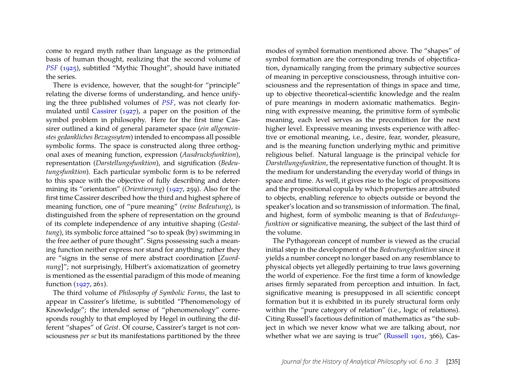come to regard myth rather than language as the primordial basis of human thought, realizing that the second volume of *[PSF](#page-27-11)* [\(1925\)](#page-27-12), subtitled "Mythic Thought", should have initiated the series.

There is evidence, however, that the sought-for "principle" relating the diverse forms of understanding, and hence unifying the three published volumes of *[PSF](#page-27-11)*, was not clearly formulated until [Cassirer](#page-27-13) [\(1927\)](#page-27-13), a paper on the position of the symbol problem in philosophy. Here for the first time Cassirer outlined a kind of general parameter space (*ein allgemeinstes gedankliches Bezugssytem*) intended to encompass all possible symbolic forms. The space is constructed along three orthogonal axes of meaning function, expression (*Ausdrucksfunktion*), representation (*Darstellungsfunktion*), and signification (*Bedeutungsfunktion*). Each particular symbolic form is to be referred to this space with the objective of fully describing and determining its "orientation" (*Orientierung*) [\(1927,](#page-27-13) 259). Also for the first time Cassirer described how the third and highest sphere of meaning function, one of "pure meaning" (*reine Bedeutung*), is distinguished from the sphere of representation on the ground of its complete independence of any intuitive shaping (*Gestaltung*), its symbolic force attained "so to speak (by) swimming in the free aether of pure thought". Signs possessing such a meaning function neither express nor stand for anything; rather they are "signs in the sense of mere abstract coordination [*Zuordnung*]"; not surprisingly, Hilbert's axiomatization of geometry is mentioned as the essential paradigm of this mode of meaning function [\(1927,](#page-27-13) 261).

The third volume of *Philosophy of Symbolic Forms*, the last to appear in Cassirer's lifetime, is subtitled "Phenomenology of Knowledge"; the intended sense of "phenomenology" corresponds roughly to that employed by Hegel in outlining the different "shapes" of *Geist*. Of course, Cassirer's target is not consciousness *per se* but its manifestations partitioned by the three

modes of symbol formation mentioned above. The "shapes" of symbol formation are the corresponding trends of objectification, dynamically ranging from the primary subjective sources of meaning in perceptive consciousness, through intuitive consciousness and the representation of things in space and time, up to objective theoretical-scientific knowledge and the realm of pure meanings in modern axiomatic mathematics. Beginning with expressive meaning, the primitive form of symbolic meaning, each level serves as the precondition for the next higher level. Expressive meaning invests experience with affective or emotional meaning, i.e., desire, fear, wonder, pleasure, and is the meaning function underlying mythic and primitive religious belief. Natural language is the principal vehicle for *Darstellungsfunktion*, the representative function of thought. It is the medium for understanding the everyday world of things in space and time. As well, it gives rise to the logic of propositions and the propositional copula by which properties are attributed to objects, enabling reference to objects outside or beyond the speaker's location and so transmission of information. The final, and highest, form of symbolic meaning is that of *Bedeutungsfunktion* or significative meaning, the subject of the last third of the volume.

The Pythagorean concept of number is viewed as the crucial initial step in the development of the *Bedeutungsfunktion* since it yields a number concept no longer based on any resemblance to physical objects yet allegedly pertaining to true laws governing the world of experience. For the first time a form of knowledge arises firmly separated from perception and intuition. In fact, significative meaning is presupposed in all scientific concept formation but it is exhibited in its purely structural form only within the "pure category of relation" (i.e., logic of relations). Citing Russell's facetious definition of mathematics as "the subject in which we never know what we are talking about, nor whether what we are saying is true" [\(Russell 1901,](#page-30-13) 366), Cas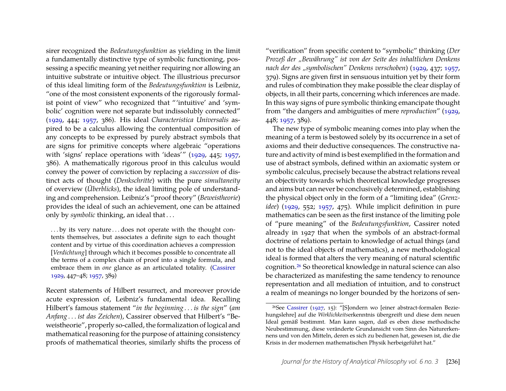sirer recognized the *Bedeutungsfunktion* as yielding in the limit a fundamentally distinctive type of symbolic functioning, possessing a specific meaning yet neither requiring nor allowing an intuitive substrate or intuitive object. The illustrious precursor of this ideal limiting form of the *Bedeutungsfunktion* is Leibniz, "one of the most consistent exponents of the rigorously formalist point of view" who recognized that "'intuitive' and 'symbolic' cognition were not separate but indissolubly connected" [\(1929,](#page-27-5) 444; [1957,](#page-28-2) 386). His ideal *Characteristica Universalis* aspired to be a calculus allowing the contentual composition of any concepts to be expressed by purely abstract symbols that are signs for primitive concepts where algebraic "operations with 'signs' replace operations with 'ideas'" [\(1929,](#page-27-5) 445; [1957,](#page-28-2) 386). A mathematically rigorous proof in this calculus would convey the power of conviction by replacing a *succession* of distinct acts of thought (*Denkschritte*) with the pure *simultaneity* of overview (*Überblicks*), the ideal limiting pole of understanding and comprehension. Leibniz's "proof theory" (*Beweistheorie*) provides the ideal of such an achievement, one can be attained only by *symbolic* thinking, an ideal that . . .

. . . by its very nature . . . does not operate with the thought contents themselves, but associates a definite sign to each thought content and by virtue of this coordination achieves a compression [*Verdichtung*] through which it becomes possible to concentrate all the terms of a complex chain of proof into a single formula, and embrace them in *one* glance as an articulated totality. [\(Cassirer](#page-27-5) [1929,](#page-27-5) 447–48; [1957,](#page-28-2) 389)

Recent statements of Hilbert resurrect, and moreover provide acute expression of, Leibniz's fundamental idea. Recalling Hilbert's famous statement "*in the beginning . . . is the sign*" (*am Anfang . . . ist das Zeichen*), Cassirer observed that Hilbert's "Beweistheorie", properly so-called, the formalization of logical and mathematical reasoning for the purpose of attaining consistency proofs of mathematical theories, similarly shifts the process of

"verification" from specific content to "symbolic" thinking (*Der Prozeß der "Bewährung" ist von der Seite des inhaltlichen Denkens nach der des "symbolischen" Denkens verschoben*) [\(1929,](#page-27-5) 437; [1957,](#page-28-2) 379). Signs are given first in sensuous intuition yet by their form and rules of combination they make possible the clear display of objects, in all their parts, concerning which inferences are made. In this way signs of pure symbolic thinking emancipate thought from "the dangers and ambiguities of mere *reproduction*" [\(1929,](#page-27-5) 448; [1957,](#page-28-2) 389).

The new type of symbolic meaning comes into play when the meaning of a term is bestowed solely by its occurrence in a set of axioms and their deductive consequences. The constructive nature and activity of mind is best exemplified in the formation and use of abstract symbols, defined within an axiomatic system or symbolic calculus, precisely because the abstract relations reveal an objectivity towards which theoretical knowledge progresses and aims but can never be conclusively determined, establishing the physical object only in the form of a "limiting idea" (*Grenzidee*) [\(1929,](#page-27-5) 552; [1957,](#page-28-2) 475). While implicit definition in pure mathematics can be seen as the first instance of the limiting pole of "pure meaning" of the *Bedeutungsfunktion*, Cassirer noted already in 1927 that when the symbols of an abstract-formal doctrine of relations pertain to knowledge of actual things (and not to the ideal objects of mathematics), a new methodological ideal is formed that alters the very meaning of natural scientific cognition.[26](#page-23-0) So theoretical knowledge in natural science can also be characterized as manifesting the same tendency to renounce representation and all mediation of intuition, and to construct a realm of meanings no longer bounded by the horizons of sen-

<span id="page-23-0"></span><sup>26</sup>See [Cassirer](#page-27-13) [\(1927,](#page-27-13) 15): "[S]ondern wo [einer abstract-formalen Beziehungslehre] auf die *Wirklichkeits*erkenntnis übergreift und diese dem neuen Ideal gemäß bestimmt. Man kann sagen, daß es eben diese methodische Neubestimmung, diese veränderte Grundansicht vom Sinn des Naturerkennens und von den Mitteln, deren es sich zu bedienen hat, gewesen ist, die die Krisis in der modernen mathematischen Physik herbeigeführt hat."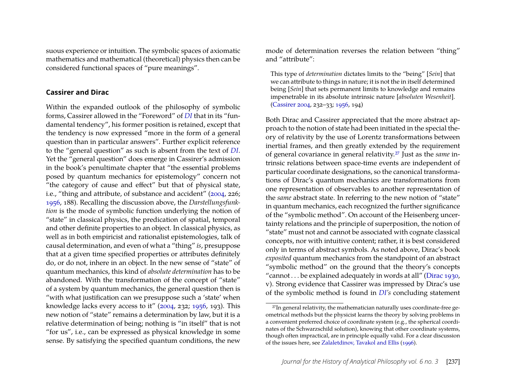suous experience or intuition. The symbolic spaces of axiomatic mathematics and mathematical (theoretical) physics then can be considered functional spaces of "pure meanings".

#### **Cassirer and Dirac**

Within the expanded outlook of the philosophy of symbolic forms, Cassirer allowed in the "Foreword" of *[DI](#page-27-0)* that in its "fundamental tendency", his former position is retained, except that the tendency is now expressed "more in the form of a general question than in particular answers". Further explicit reference to the "general question" as such is absent from the text of *[DI](#page-27-0)*. Yet the "general question" does emerge in Cassirer's admission in the book's penultimate chapter that "the essential problems posed by quantum mechanics for epistemology" concern not "the category of cause and effect" but that of physical state, i.e., "thing and attribute, of substance and accident" [\(2004,](#page-28-13) 226; [1956,](#page-28-14) 188). Recalling the discussion above, the *Darstellungsfunktion* is the mode of symbolic function underlying the notion of "state" in classical physics, the predication of spatial, temporal and other definite properties to an object. In classical physics, as well as in both empiricist and rationalist epistemologies, talk of causal determination, and even of what a "thing" *is*, presuppose that at a given time specified properties or attributes definitely do, or do not, inhere in an object. In the new sense of "state" of quantum mechanics, this kind of *absolute determination* has to be abandoned. With the transformation of the concept of "state" of a system by quantum mechanics, the general question then is "with what justification can we presuppose such a 'state' when knowledge lacks every access to it" [\(2004,](#page-28-13) 232; [1956,](#page-28-14) 193). This new notion of "state" remains a determination by law, but it is a relative determination of being; nothing is "in itself" that is not "for us", i.e., can be expressed as physical knowledge in some sense. By satisfying the specified quantum conditions, the new

mode of determination reverses the relation between "thing" and "attribute":

This type of *determination* dictates limits to the "being" [*Sein*] that we can attribute to things in nature; it is not the in itself determined being [*Sein*] that sets permanent limits to knowledge and remains impenetrable in its absolute intrinsic nature [*absoluten Wesenheit*]. [\(Cassirer 2004,](#page-28-13) 232–33; [1956,](#page-28-14) 194)

Both Dirac and Cassirer appreciated that the more abstract approach to the notion of state had been initiated in the special theory of relativity by the use of Lorentz transformations between inertial frames, and then greatly extended by the requirement of general covariance in general relativity.[27](#page-24-0) Just as the *same* intrinsic relations between space-time events are independent of particular coordinate designations, so the canonical transformations of Dirac's quantum mechanics are transformations from one representation of observables to another representation of the *same* abstract state. In referring to the new notion of "state" in quantum mechanics, each recognized the further significance of the "symbolic method". On account of the Heisenberg uncertainty relations and the principle of superposition, the notion of "state" must not and cannot be associated with cognate classical concepts, nor with intuitive content; rather, it is best considered only in terms of abstract symbols. As noted above, Dirac's book *exposited* quantum mechanics from the standpoint of an abstract "symbolic method" on the ground that the theory's concepts "cannot . . . be explained adequately in words at all" [\(Dirac 1930,](#page-28-1) v). Strong evidence that Cassirer was impressed by Dirac's use of the symbolic method is found in *[DI'](#page-27-0)s* concluding statement

<span id="page-24-0"></span><sup>27</sup>In general relativity, the mathematician naturally uses coordinate-free geometrical methods but the physicist learns the theory by solving problems in a convenient preferred choice of coordinate system (e.g., the spherical coordinates of the Schwarzschild solution), knowing that other coordinate systems, though often impractical, are in principle equally valid. For a clear discussion of the issues here, see [Zalaletdinov, Tavakol and Ellis](#page-30-14) [\(1996\)](#page-30-14).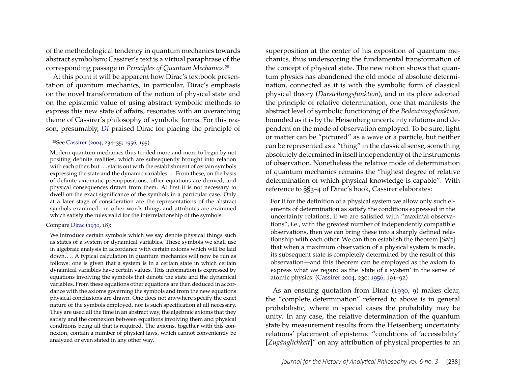of the methodological tendency in quantum mechanics towards abstract symbolism; Cassirer's text is a virtual paraphrase of the corresponding passage in *Principles of Quantum Mechanics*.[28](#page-25-0)

At this point it will be apparent how Dirac's textbook presentation of quantum mechanics, in particular, Dirac's emphasis on the novel transformation of the notion of physical state and on the epistemic value of using abstract symbolic methods to express this new state of affairs, resonates with an overarching theme of Cassirer's philosophy of symbolic forms. For this reason, presumably, *[DI](#page-27-0)* praised Dirac for placing the principle of

Modern quantum mechanics thus tended more and more to begin by not positing definite realities, which are subsequently brought into relation with each other, but . . . starts out with the establishment of certain symbols expressing the state and the dynamic variables . . . From these, on the basis of definite axiomatic presuppositions, other equations are derived, and physical consequences drawn from them. At first it is not necessary to dwell on the exact significance of the symbols in a particular case. Only at a later stage of consideration are the representations of the abstract symbols examined—in other words things and attributes are examined which satisfy the rules valid for the interrelationship of the symbols.

#### Compare [Dirac](#page-28-1) [\(1930,](#page-28-1) 18):

We introduce certain symbols which we say denote physical things such as states of a system or dynamical variables. These symbols we shall use in algebraic analysis in accordance with certain axioms which will be laid down. . . . A typical calculation in quantum mechanics will now be run as follows: one is given that a system is in a certain state in which certain dynamical variables have certain values. This information is expressed by equations involving the symbols that denote the state and the dynamical variables. From these equations other equations are then deduced in accordance with the axioms governing the symbols and from the new equations physical conclusions are drawn. One does not anywhere specify the exact nature of the symbols employed, nor is such specification at all necessary. They are used all the time in an abstract way, the algebraic axioms that they satisfy and the connexion between equations involving them and physical conditions being all that is required. The axioms, together with this connexion, contain a number of physical laws, which cannot conveniently be analyzed or even stated in any other way.

superposition at the center of his exposition of quantum mechanics, thus underscoring the fundamental transformation of the concept of physical state. The new notion shows that quantum physics has abandoned the old mode of absolute determination, connected as it is with the symbolic form of classical physical theory (*Darstellungsfunktion*), and in its place adopted the principle of relative determination, one that manifests the abstract level of symbolic functioning of the *Bedeutungsfunktion*, bounded as it is by the Heisenberg uncertainty relations and dependent on the mode of observation employed. To be sure, light or matter can be "pictured" as a wave or a particle, but neither can be represented as a "thing" in the classical sense, something absolutely determined in itself independently of the instruments of observation. Nonetheless the relative mode of determination of quantum mechanics remains the "highest degree of relative determination of which physical knowledge is capable". With reference to §§3–4 of Dirac's book, Cassirer elaborates:

For if for the definition of a physical system we allow only such elements of determination as satisfy the conditions expressed in the uncertainty relations, if we are satisfied with "maximal observations", i.e., with the greatest number of independently compatible observations, then we can bring these into a sharply defined relationship with each other. We can then establish the theorem [*Satz*] that when a maximum observation of a physical system is made, its subsequent state is completely determined by the result of this observation—and this theorem can be employed as the axiom to express what we regard as the 'state of a system' in the sense of atomic physics. [\(Cassirer 2004,](#page-28-13) 230; [1956,](#page-28-14) 191–92)

As an ensuing quotation from Dirac [\(1930,](#page-28-1) 9) makes clear, the "complete determination" referred to above is in general probabilistic, where in special cases the probability may be unity. In any case, the relative determination of the quantum state by measurement results from the Heisenberg uncertainty relations' placement of epistemic "conditions of 'accessibility' [*Zugänglichkeit*]" on any attribution of physical properties to an

<span id="page-25-0"></span><sup>28</sup>See [Cassirer](#page-28-13) [\(2004,](#page-28-13) 234–35; [1956,](#page-28-14) 195):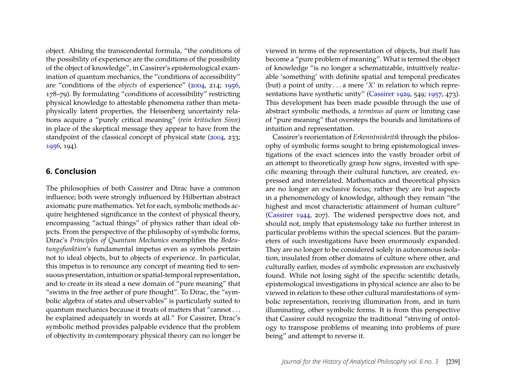object. Abiding the transcendental formula, "the conditions of the possibility of experience are the conditions of the possibility of the object of knowledge", in Cassirer's epistemological examination of quantum mechanics, the "conditions of accessibility" are "conditions of the *objects* of experience" [\(2004,](#page-28-13) 214; [1956,](#page-28-14) 178–79). By formulating "conditions of accessibility" restricting physical knowledge to attestable phenomena rather than metaphysically latent properties, the Heisenberg uncertainty relations acquire a "purely critical meaning" (*rein kritischen Sinn*) in place of the skeptical message they appear to have from the standpoint of the classical concept of physical state [\(2004,](#page-28-13) 233; [1956,](#page-28-14) 194).

#### **6. Conclusion**

The philosophies of both Cassirer and Dirac have a common influence; both were strongly influenced by Hilbertian abstract axiomatic pure mathematics. Yet for each, symbolic methods acquire heightened significance in the context of physical theory, encompassing "actual things" of physics rather than ideal objects. From the perspective of the philosophy of symbolic forms, Dirac's *Principles of Quantum Mechanics* exemplifies the *Bedeutungsfunktion*'s fundamental impetus even as symbols pertain not to ideal objects, but to objects of experience. In particular, this impetus is to renounce any concept of meaning tied to sensuous presentation, intuition or spatial-temporal representation, and to create in its stead a new domain of "pure meaning" that "swims in the free aether of pure thought". To Dirac, the "symbolic algebra of states and observables" is particularly suited to quantum mechanics because it treats of matters that "cannot . . . be explained adequately in words at all." For Cassirer, Dirac's symbolic method provides palpable evidence that the problem of objectivity in contemporary physical theory can no longer be

viewed in terms of the representation of objects, but itself has become a "pure problem of meaning". What is termed the object of knowledge "is no longer a schematizable, intuitively realizable 'something' with definite spatial and temporal predicates (but) a point of unity . . . a mere '*X*' in relation to which representations have synthetic unity" [\(Cassirer 1929,](#page-27-5) 549; [1957,](#page-28-2) 473). This development has been made possible through the use of abstract symbolic methods, a *terminus ad quem* or limiting case of "pure meaning" that oversteps the bounds and limitations of intuition and representation.

Cassirer's reorientation of *Erkenntniskritik* through the philosophy of symbolic forms sought to bring epistemological investigations of the exact sciences into the vastly broader orbit of an attempt to theoretically grasp how signs, invested with specific meaning through their cultural function, are created, expressed and interrelated. Mathematics and theoretical physics are no longer an exclusive focus; rather they are but aspects in a phenomenology of knowledge, although they remain "the highest and most characteristic attainment of human culture" [\(Cassirer 1944,](#page-28-18) 207). The widened perspective does not, and should not, imply that epistemology take no further interest in particular problems within the special sciences. But the parameters of such investigations have been enormously expanded. They are no longer to be considered solely in autonomous isolation, insulated from other domains of culture where other, and culturally earlier, modes of symbolic expression are exclusively found. While not losing sight of the specific scientific details, epistemological investigations in physical science are also to be viewed in relation to these other cultural manifestations of symbolic representation, receiving illumination from, and in turn illuminating, other symbolic forms. It is from this perspective that Cassirer could recognize the traditional "striving of ontology to transpose problems of meaning into problems of pure being" and attempt to reverse it.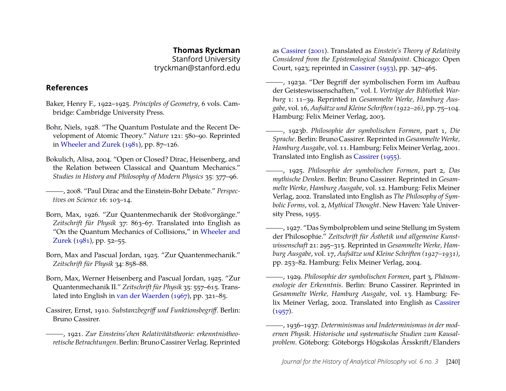### **Thomas Ryckman** Stanford University tryckman@stanford.edu

# **References**

- <span id="page-27-9"></span>Baker, Henry F., 1922–1925. *Principles of Geometry*, 6 vols. Cambridge: Cambridge University Press.
- <span id="page-27-8"></span>Bohr, Niels, 1928. "The Quantum Postulate and the Recent Development of Atomic Theory." *Nature* 121: 580–90. Reprinted in [Wheeler and Zurek](#page-30-6) [\(1981\)](#page-30-6), pp. 87–126.
- <span id="page-27-3"></span>Bokulich, Alisa, 2004. "Open or Closed? Dirac, Heisenberg, and the Relation between Classical and Quantum Mechanics." *Studies in History and Philosophy of Modern Physics* 35: 377–96.

<span id="page-27-4"></span>, 2008. "Paul Dirac and the Einstein-Bohr Debate." *Perspectives on Science* 16: 103–14.

- Born, Max, 1926. "Zur Quantenmechanik der Stoßvorgänge." *Zeitschrift für Physik* 37: 863–67. Translated into English as "On the Quantum Mechanics of Collisions," in [Wheeler and](#page-30-6) [Zurek](#page-30-6) [\(1981\)](#page-30-6), pp. 52–55.
- <span id="page-27-6"></span>Born, Max and Pascual Jordan, 1925. "Zur Quantenmechanik." *Zeitschrift für Physik* 34: 858–88.
- <span id="page-27-7"></span>Born, Max, Werner Heisenberg and Pascual Jordan, 1925. "Zur Quantenmechanik II." *Zeitschrift für Physik* 35: 557–615. Translated into English in [van der Waerden](#page-30-15) [\(1967\)](#page-30-15), pp. 321–85.
- <span id="page-27-2"></span>Cassirer, Ernst, 1910. *Substanzbegriff und Funktionsbegriff*. Berlin: Bruno Cassirer.
- <span id="page-27-1"></span>, 1921. *Zur Einsteins'chen Relativitätstheorie: erkenntnistheoretische Betrachtungen*. Berlin: Bruno Cassirer Verlag. Reprinted

as [Cassirer](#page-28-15) [\(2001\)](#page-28-15). Translated as *Einstein's Theory of Relativity Considered from the Epistemological Standpoint*. Chicago: Open Court, 1923; reprinted in [Cassirer](#page-28-16) [\(1953\)](#page-28-16), pp. 347–465.

<span id="page-27-10"></span>, 1923a. "Der Begriff der symbolischen Form im Aufbau der Geisteswissenschaften," vol. I. *Vorträge der Bibliothek Warburg* 1: 11–39. Reprinted in *Gesammelte Werke, Hamburg Ausgabe*, vol. 16, *Aufsätze und Kleine Schriften (1922–26)*, pp. 75–104. Hamburg: Felix Meiner Verlag, 2003.

<span id="page-27-11"></span>, 1923b. *Philosophie der symbolischen Formen*, part 1, *Die Sprache*. Berlin: Bruno Cassirer. Reprinted in *Gesammelte Werke, Hamburg Ausgabe*, vol. 11. Hamburg: FelixMeiner Verlag, 2001. Translated into English as [Cassirer](#page-28-17) [\(1955\)](#page-28-17).

<span id="page-27-12"></span>, 1925. *Philosophie der symbolischen Formen*, part 2, *Das mythische Denken*. Berlin: Bruno Cassirer. Reprinted in *Gesammelte Werke, Hamburg Ausgabe*, vol. 12. Hamburg: Felix Meiner Verlag, 2002. Translated into English as *The Philosophy of Symbolic Forms*, vol. 2, *Mythical Thought*. New Haven: Yale University Press, 1955.

<span id="page-27-13"></span>, 1927. "Das Symbolproblem und seine Stellung im System der Philosophie." *Zeitschrift für Ästhetik und allgemeine Kunstwissenschaft* 21: 295–315. Reprinted in *Gesammelte Werke, Hamburg Ausgabe*, vol. 17, *Aufsätze und Kleine Schriften (1927–1931)*, pp. 253–82. Hamburg: Felix Meiner Verlag, 2004.

<span id="page-27-5"></span>, 1929. *Philosophie der symbolischen Formen*, part 3, *Phänomenologie der Erkenntnis*. Berlin: Bruno Cassirer. Reprinted in *Gesammelte Werke, Hamburg Ausgabe*, vol. 13. Hamburg: Felix Meiner Verlag, 2002. Translated into English as [Cassirer](#page-28-2)  $(1957).$  $(1957).$ 

<span id="page-27-0"></span>, 1936–1937. *Determinismus und Indeterminismus in der modernen Physik. Historische und systematische Studien zum Kausalproblem*. Göteborg: Göteborgs Högskolas Årsskrift/Elanders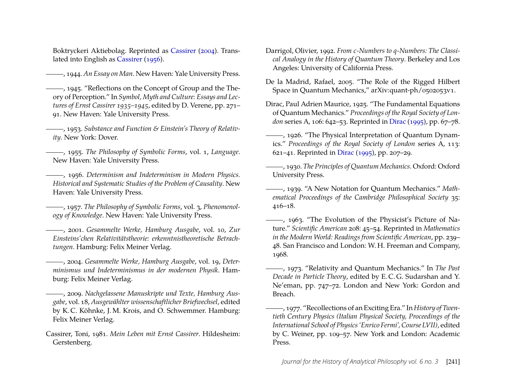Boktryckeri Aktiebolag. Reprinted as [Cassirer](#page-28-13) [\(2004\)](#page-28-13). Translated into English as [Cassirer](#page-28-14) [\(1956\)](#page-28-14).

<span id="page-28-18"></span>, 1944. *An Essay on Man*. New Haven: Yale University Press.

<span id="page-28-11"></span>-, 1945. "Reflections on the Concept of Group and the Theory of Perception." In *Symbol, Myth and Culture: Essays and Lectures of Ernst Cassirer 1935–1945*, edited by D. Verene, pp. 271– 91. New Haven: Yale University Press.

<span id="page-28-16"></span>, 1953. *Substance and Function & Einstein's Theory of Relativity*. New York: Dover.

<span id="page-28-17"></span>, 1955. *The Philosophy of Symbolic Forms*, vol. 1, *Language*. New Haven: Yale University Press.

<span id="page-28-14"></span>, 1956. *Determinism and Indeterminism in Modern Physics. Historical and Systematic Studies of the Problem of Causality*. New Haven: Yale University Press.

<span id="page-28-2"></span>, 1957. *The Philosophy of Symbolic Forms*, vol. 3, *Phenomenology of Knowledge*. New Haven: Yale University Press.

<span id="page-28-15"></span>, 2001. *Gesammelte Werke, Hamburg Ausgabe*, vol. 10, *Zur Einsteins'chen Relativitätstheorie: erkenntnistheoretische Betrachtungen*. Hamburg: Felix Meiner Verlag.

<span id="page-28-13"></span>, 2004. *Gesammelte Werke, Hamburg Ausgabe*, vol. 19, *Determinismus und Indeterminismus in der modernen Physik*. Hamburg: Felix Meiner Verlag.

<span id="page-28-12"></span>, 2009. *Nachgelassene Manuskripte und Texte, Hamburg Ausgabe*, vol. 18, *Ausgewählter wissenschaftlicher Briefwechsel*, edited by K. C. Köhnke, J. M. Krois, and O. Schwemmer. Hamburg: Felix Meiner Verlag.

<span id="page-28-10"></span>Cassirer, Toni, 1981. *Mein Leben mit Ernst Cassirer*. Hildesheim: Gerstenberg.

<span id="page-28-4"></span>Darrigol, Olivier, 1992. *From c-Numbers to q-Numbers: The Classical Analogy in the History of Quantum Theory*. Berkeley and Los Angeles: University of California Press.

<span id="page-28-8"></span>De la Madrid, Rafael, 2005. "The Role of the Rigged Hilbert Space in Quantum Mechanics," arXiv:quant-ph/0502053v1.

<span id="page-28-6"></span>Dirac, Paul Adrien Maurice, 1925. "The Fundamental Equations of Quantum Mechanics." *Proceedings of the Royal Society of London* series A, 106: 642–53. Reprinted in [Dirac](#page-29-10) [\(1995\)](#page-29-10), pp. 67–78.

<span id="page-28-7"></span>-, 1926. "The Physical Interpretation of Quantum Dynamics." *Proceedings of the Royal Society of London* series A, 113: 621–41. Reprinted in [Dirac](#page-29-10) [\(1995\)](#page-29-10), pp. 207–29.

<span id="page-28-1"></span>, 1930. *The Principles of Quantum Mechanics*. Oxford: Oxford University Press.

<span id="page-28-9"></span>, 1939. "A New Notation for Quantum Mechanics." *Mathematical Proceedings of the Cambridge Philosophical Society* 35: 416–18.

<span id="page-28-0"></span>, 1963. "The Evolution of the Physicist's Picture of Nature." *Scientific American* 208: 45–54. Reprinted in *Mathematics in the Modern World: Readings from Scientific American*, pp. 239– 48. San Francisco and London: W. H. Freeman and Company, 1968.

<span id="page-28-5"></span>, 1973. "Relativity and Quantum Mechanics." In *The Past Decade in Particle Theory*, edited by E. C. G. Sudarshan and Y. Ne'eman, pp. 747–72. London and New York: Gordon and Breach.

<span id="page-28-3"></span>, 1977. "Recollections of an Exciting Era." In *History of Twentieth Century Physics (Italian Physical Society, Proceedings of the International School of Physics 'Enrico Fermi', Course LVII)*, edited by C. Weiner, pp. 109–57. New York and London: Academic Press.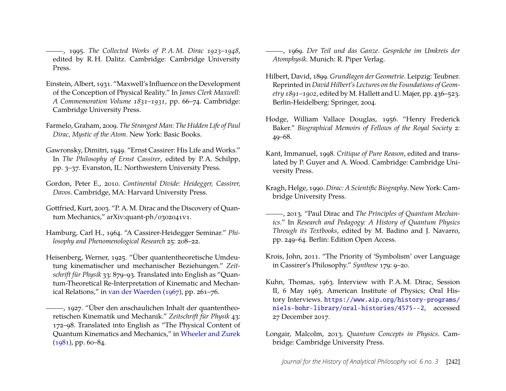<span id="page-29-10"></span>, 1995. *The Collected Works of P. A. M. Dirac 1923–1948*, edited by R. H. Dalitz. Cambridge: Cambridge University Press.

- <span id="page-29-13"></span>Einstein, Albert, 1931. "Maxwell's Influence on the Development of the Conception of Physical Reality." In *James Clerk Maxwell: A Commemoration Volume 1831–1931*, pp. 66–74. Cambridge: Cambridge University Press.
- <span id="page-29-3"></span>Farmelo, Graham, 2009. *The Strangest Man: The Hidden Life of Paul Dirac, Mystic of the Atom*. New York: Basic Books.
- <span id="page-29-0"></span>Gawronsky, Dimitri, 1949. "Ernst Cassirer: His Life and Works." In *The Philosophy of Ernst Cassirer*, edited by P. A. Schilpp, pp. 3–37. Evanston, IL: Northwestern University Press.
- <span id="page-29-1"></span>Gordon, Peter E., 2010. *Continental Divide: Heidegger, Cassirer, Davos*. Cambridge, MA: Harvard University Press.
- <span id="page-29-14"></span>Gottfried, Kurt, 2003. "P. A. M. Dirac and the Discovery of Quantum Mechanics," arXiv:quant-ph/0302041v1.
- <span id="page-29-5"></span>Hamburg, Carl H., 1964. "A Cassirer-Heidegger Seminar." *Philosophy and Phenomenological Research* 25: 208–22.
- <span id="page-29-6"></span>Heisenberg, Werner, 1925. "Über quantentheoretische Umdeutung kinematischer und mechanischer Beziehungen." *Zeitschrift für Physik* 33: 879–93. Translated into English as "Quantum-Theoretical Re-Interpretation of Kinematic and Mechanical Relations," in [van der Waerden](#page-30-15) [\(1967\)](#page-30-15), pp. 261–76.

<span id="page-29-7"></span>, 1927. "Über den anschaulichen Inhalt der quantentheoretischen Kinematik und Mechanik." *Zeitschrift für Physik* 43: 172–98. Translated into English as "The Physical Content of Quantum Kinematics and Mechanics," in [Wheeler and Zurek](#page-30-6)  $(1981)$ , pp. 60–84.

<span id="page-29-2"></span>, 1969. *Der Teil und das Ganze. Gespräche im Umkreis der Atomphysik*. Munich: R. Piper Verlag.

- <span id="page-29-9"></span>Hilbert, David, 1899. *Grundlagen der Geometrie*. Leipzig: Teubner. Reprinted in *David Hilbert's Lectures on the Foundations of Geometry 1891–1902*, edited by M. Hallett and U. Majer, pp. 436–523. Berlin-Heidelberg: Springer, 2004.
- <span id="page-29-8"></span>Hodge, William Vallace Douglas, 1956. "Henry Frederick Baker." *Biographical Memoirs of Fellows of the Royal Society* 2: 49–68.
- Kant, Immanuel, 1998. *Critique of Pure Reason*, edited and translated by P. Guyer and A. Wood. Cambridge: Cambridge University Press.
- <span id="page-29-15"></span>Kragh, Helge, 1990. *Dirac: A Scientific Biography*. New York: Cambridge University Press.
- <span id="page-29-12"></span>, 2013. "Paul Dirac and *The Principles of Quantum Mechanics*." In *Research and Pedagogy: A History of Quantum Physics Through its Textbooks*, edited by M. Badino and J. Navarro, pp. 249–64. Berlin: Edition Open Access.
- <span id="page-29-16"></span>Krois, John, 2011. "The Priority of 'Symbolism' over Language in Cassirer's Philosophy." *Synthese* 179: 9–20.
- <span id="page-29-4"></span>Kuhn, Thomas, 1963. Interview with P. A. M. Dirac, Session II, 6 May 1963. American Institute of Physics; Oral History Interviews. [https://www.aip.org/history-programs/](https://www.aip.org/history-programs/niels-bohr-library/oral-histories/4575--2) [niels-bohr-library/oral-histories/4575--2](https://www.aip.org/history-programs/niels-bohr-library/oral-histories/4575--2), accessed 27 December 2017.
- <span id="page-29-11"></span>Longair, Malcolm, 2013. *Quantum Concepts in Physics*. Cambridge: Cambridge University Press.